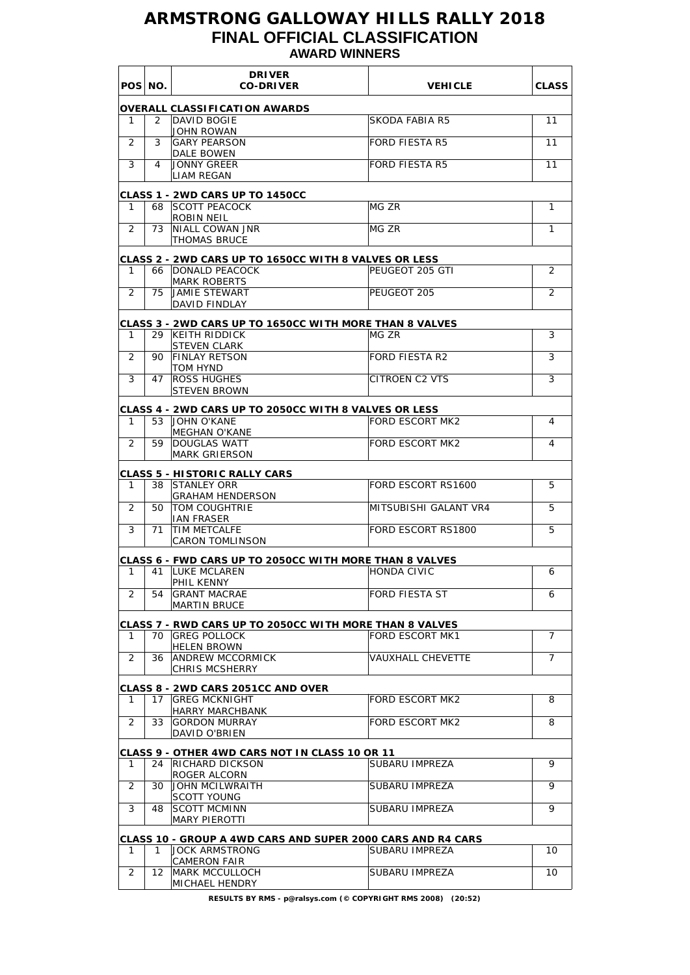## **ARMSTRONG GALLOWAY HILLS RALLY 2018 FINAL OFFICIAL CLASSIFICATION AWARD WINNERS**

|                | POS NO. | <b>DRIVER</b><br><b>CO-DRIVER</b>                                              | <b>VEHICLE</b>           | <b>CLASS</b>   |
|----------------|---------|--------------------------------------------------------------------------------|--------------------------|----------------|
|                |         | <b>OVERALL CLASSIFICATION AWARDS</b>                                           |                          |                |
| 1              | 2       | DAVID BOGIE<br>JOHN ROWAN                                                      | <b>SKODA FABIA R5</b>    | 11             |
| 2              | 3       | <b>GARY PEARSON</b>                                                            | <b>FORD FIESTA R5</b>    | 11             |
| 3              | 4       | DALE BOWEN<br><b>JONNY GREER</b>                                               | <b>FORD FIESTA R5</b>    | 11             |
|                |         | <b>LIAM REGAN</b>                                                              |                          |                |
| 1              | 68      | <b>CLASS 1 - 2WD CARS UP TO 1450CC</b><br><b>ISCOTT PEACOCK</b><br>ROBIN NEIL  | MG ZR                    | 1              |
| $\overline{2}$ | 73      | NIALL COWAN JNR<br><b>THOMAS BRUCE</b>                                         | MG ZR                    | 1              |
|                |         | <b>CLASS 2 - 2WD CARS UP TO 1650CC WITH 8 VALVES OR LESS</b>                   |                          |                |
| 1              | 66      | <b>DONALD PEACOCK</b>                                                          | PEUGEOT 205 GTI          | 2              |
|                |         | <b>MARK ROBERTS</b><br><b>JAMIE STEWART</b>                                    | PEUGEOT 205              |                |
| 2              | 75      | DAVID FINDLAY                                                                  |                          | 2              |
|                |         | <b>CLASS 3 - 2WD CARS UP TO 1650CC WITH MORE THAN 8 VALVES</b>                 |                          |                |
| 1              | 29      | <b>KEITH RIDDICK</b>                                                           | MG ZR                    | 3              |
| 2              | 90.     | <b>STEVEN CLARK</b><br><b>FINLAY RETSON</b>                                    | <b>FORD FIESTA R2</b>    | 3              |
| 3              | 47      | TOM HYND<br><b>ROSS HUGHES</b>                                                 | <b>CITROEN C2 VTS</b>    | 3              |
|                |         | <b>STEVEN BROWN</b>                                                            |                          |                |
| 1              | 53      | CLASS 4 - 2WD CARS UP TO 2050CC WITH 8 VALVES OR LESS<br><b>JOHN O'KANE</b>    | <b>FORD ESCORT MK2</b>   | 4              |
|                |         | <b>MEGHAN O'KANE</b>                                                           |                          |                |
| 2              | 59      | <b>DOUGLAS WATT</b><br><b>MARK GRIERSON</b>                                    | <b>FORD ESCORT MK2</b>   | 4              |
|                |         | CLASS 5 - HISTORIC RALLY CARS                                                  |                          |                |
| 1              | 38      | <b>ISTANLEY ORR</b><br><b>GRAHAM HENDERSON</b>                                 | FORD ESCORT RS1600       | 5              |
| 2              | 50      | TOM COUGHTRIE<br><b>IAN FRASER</b>                                             | MITSUBISHI GALANT VR4    | 5              |
| 3              | 71      | TIM METCALFE<br><b>CARON TOMLINSON</b>                                         | FORD ESCORT RS1800       | 5              |
|                |         |                                                                                |                          |                |
| 1              | 41      | CLASS 6 - FWD CARS UP TO 2050CC WITH MORE THAN 8 VALVES<br><b>LUKE MCLAREN</b> | <b>HONDA CIVIC</b>       | 6              |
|                |         | PHIL KENNY                                                                     |                          |                |
| $\overline{2}$ | 54      | <b>GRANT MACRAE</b><br><b>MARTIN BRUCE</b>                                     | <b>FORD FIESTA ST</b>    | 6              |
|                |         | CLASS 7 - RWD CARS UP TO 2050CC WITH MORE THAN 8 VALVES                        |                          |                |
| 1              | 70.     | <b>GREG POLLOCK</b>                                                            | <b>FORD ESCORT MK1</b>   | 7              |
| 2              | 36      | <b>HELEN BROWN</b><br><b>ANDREW MCCORMICK</b>                                  | <b>VAUXHALL CHEVETTE</b> | $\overline{7}$ |
|                |         | <b>CHRIS MCSHERRY</b>                                                          |                          |                |
|                |         | <b>CLASS 8 - 2WD CARS 2051CC AND OVER</b>                                      |                          |                |
| 1.             | 17      | <b>GREG MCKNIGHT</b><br><b>HARRY MARCHBANK</b>                                 | FORD ESCORT MK2          | 8              |
| 2              | 33      | <b>GORDON MURRAY</b><br>DAVID O'BRIEN                                          | FORD ESCORT MK2          | 8              |
|                |         |                                                                                |                          |                |
| 1              | 24      | CLASS 9 - OTHER 4WD CARS NOT IN CLASS 10 OR 11<br><b>RICHARD DICKSON</b>       | SUBARU IMPREZA           | 9              |
| 2              | 30      | ROGER ALCORN<br>JOHN MCILWRAITH                                                | SUBARU IMPREZA           | 9              |
| 3              | 48      | <b>SCOTT YOUNG</b><br><b>SCOTT MCMINN</b>                                      | SUBARU IMPREZA           | 9              |
|                |         | <b>MARY PIEROTTI</b>                                                           |                          |                |
|                |         | CLASS 10 - GROUP A 4WD CARS AND SUPER 2000 CARS AND R4 CARS                    |                          |                |
| 1              | 1.      | <b>JOCK ARMSTRONG</b><br><b>CAMERON FAIR</b>                                   | SUBARU IMPREZA           | 10             |
| $\overline{2}$ | 12      | <b>MARK MCCULLOCH</b>                                                          | SUBARU IMPREZA           | 10             |
|                |         | MICHAEL HENDRY                                                                 |                          |                |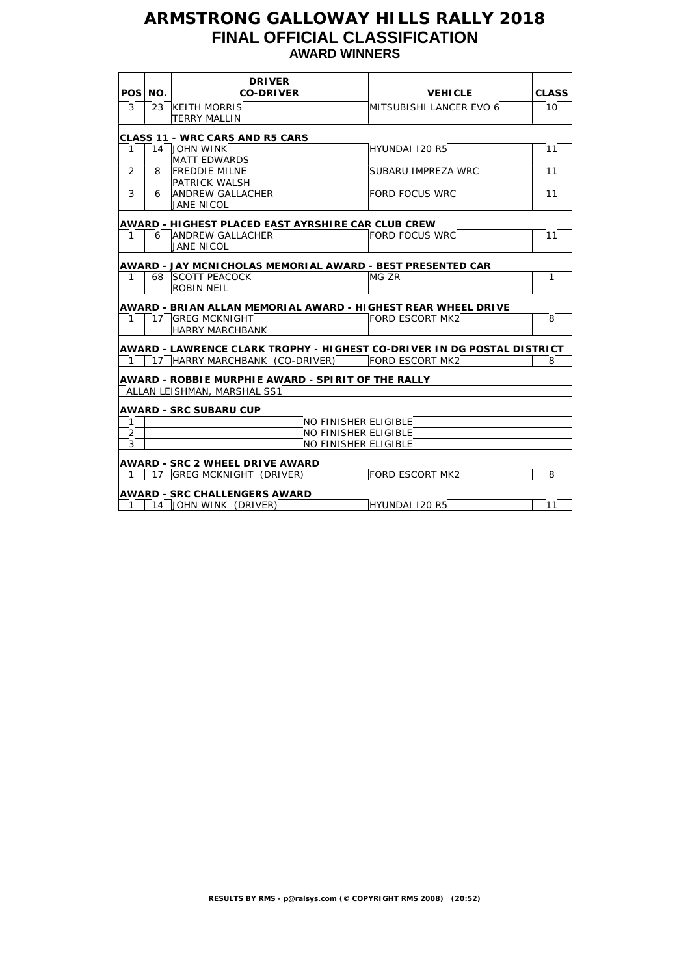## **ARMSTRONG GALLOWAY HILLS RALLY 2018 FINAL OFFICIAL CLASSIFICATION AWARD WINNERS**

|                |         | <b>DRIVER</b>                                                                                                             |                         |              |
|----------------|---------|---------------------------------------------------------------------------------------------------------------------------|-------------------------|--------------|
|                | POS NO. | <b>CO-DRIVER</b>                                                                                                          | <b>VEHICLE</b>          | <b>CLASS</b> |
| 3              |         | 23 KEITH MORRIS                                                                                                           | MITSUBISHI LANCER EVO 6 | 10           |
|                |         | <b>TERRY MALLIN</b>                                                                                                       |                         |              |
|                |         | <b>CLASS 11 - WRC CARS AND R5 CARS</b>                                                                                    |                         |              |
| $\mathbf{1}$   |         | 14 JOHN WINK                                                                                                              | HYUNDAI 120 R5          | 11           |
|                |         | <b>MATT EDWARDS</b>                                                                                                       |                         |              |
| 2              | 8       | <b>FREDDIE MILNE</b>                                                                                                      | SUBARU IMPREZA WRC      | 11           |
|                |         | <b>PATRICK WALSH</b>                                                                                                      |                         |              |
| 3              | 6       | <b>ANDREW GALLACHER</b>                                                                                                   | <b>FORD FOCUS WRC</b>   | 11           |
|                |         | JANE NICOL                                                                                                                |                         |              |
|                |         |                                                                                                                           |                         |              |
| 1              | 6       | AWARD - HIGHEST PLACED EAST AYRSHIRE CAR CLUB CREW<br><b>ANDREW GALLACHER</b>                                             | <b>FORD FOCUS WRC</b>   | 11           |
|                |         | <b>JANE NICOL</b>                                                                                                         |                         |              |
|                |         |                                                                                                                           |                         |              |
|                |         | AWARD - JAY MCNICHOLAS MEMORIAL AWARD - BEST PRESENTED CAR                                                                |                         |              |
| $\mathbf{1}$   |         | 68 SCOTT PEACOCK                                                                                                          | MG ZR                   | $\mathbf{1}$ |
|                |         | ROBIN NEIL                                                                                                                |                         |              |
|                |         | AWARD - BRIAN ALLAN MEMORIAL AWARD - HIGHEST REAR WHEEL DRIVE                                                             |                         |              |
| 1              |         | 17 GREG MCKNIGHT                                                                                                          | <b>FORD ESCORT MK2</b>  | 8            |
|                |         | HARRY MARCHBANK                                                                                                           |                         |              |
|                |         |                                                                                                                           |                         |              |
|                |         | AWARD - LAWRENCE CLARK TROPHY - HIGHEST CO-DRIVER IN DG POSTAL DISTRICT<br>17 HARRY MARCHBANK (CO-DRIVER) FORD ESCORT MK2 |                         | 8            |
| $\mathbf{1}$   |         |                                                                                                                           |                         |              |
|                |         | <b>AWARD - ROBBIE MURPHIE AWARD - SPIRIT OF THE RALLY</b>                                                                 |                         |              |
|                |         | ALLAN LEISHMAN, MARSHAL SS1                                                                                               |                         |              |
|                |         |                                                                                                                           |                         |              |
| $\mathbf{1}$   |         | <b>AWARD - SRC SUBARU CUP</b><br><b>NO FINISHER ELIGIBLE</b>                                                              |                         |              |
| $\overline{2}$ |         | <b>NO FINISHER ELIGIBLE</b>                                                                                               |                         |              |
| 3              |         | <b>NO FINISHER ELIGIBLE</b>                                                                                               |                         |              |
|                |         |                                                                                                                           |                         |              |
|                |         | <b>AWARD - SRC 2 WHEEL DRIVE AWARD</b>                                                                                    |                         |              |
| 1              |         | 17 GREG MCKNIGHT (DRIVER)                                                                                                 | FORD ESCORT MK2         | 8            |
|                |         | <b>AWARD - SRC CHALLENGERS AWARD</b>                                                                                      |                         |              |
| 1              |         | 14 JOHN WINK (DRIVER)                                                                                                     | HYUNDAI 120 R5          | 11           |
|                |         |                                                                                                                           |                         |              |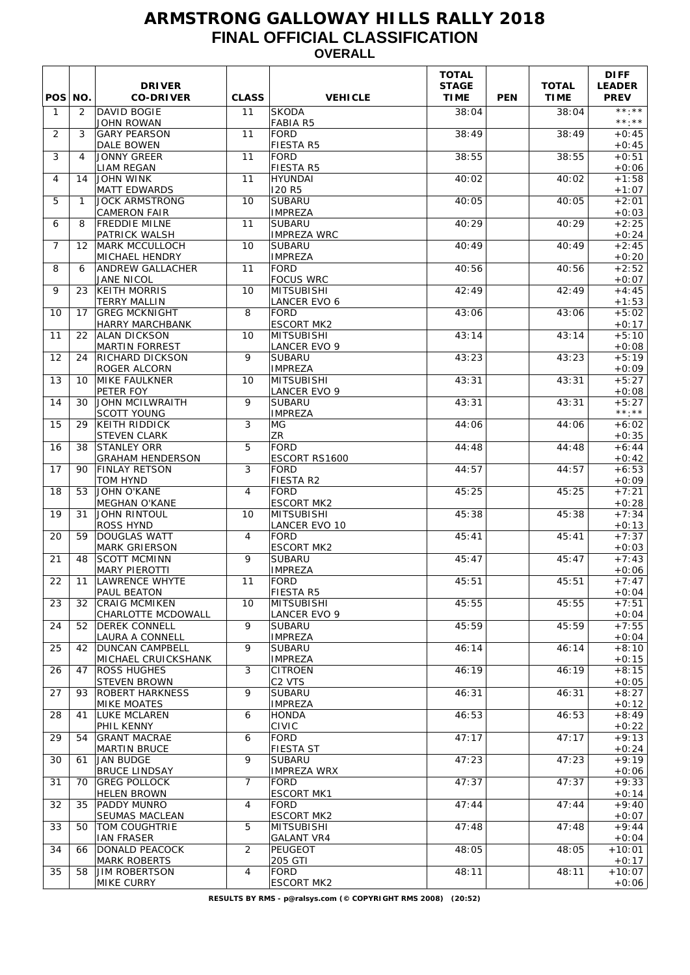## **ARMSTRONG GALLOWAY HILLS RALLY 2018 FINAL OFFICIAL CLASSIFICATION OVERALL**

| POS NO.      |                   | <b>DRIVER</b><br><b>CO-DRIVER</b>              | <b>CLASS</b>   | <b>VEHICLE</b>                      | <b>TOTAL</b><br><b>STAGE</b><br><b>TIME</b> | <b>PEN</b> | <b>TOTAL</b><br><b>TIME</b> | <b>DIFF</b><br><b>LEADER</b><br><b>PREV</b> |
|--------------|-------------------|------------------------------------------------|----------------|-------------------------------------|---------------------------------------------|------------|-----------------------------|---------------------------------------------|
| $\mathbf{1}$ | 2                 | <b>DAVID BOGIE</b><br><b>JOHN ROWAN</b>        | 11             | <b>SKODA</b><br><b>FABIA R5</b>     | 38:04                                       |            | 38:04                       | **.**<br>$***.**$                           |
| 2            | 3                 | <b>GARY PEARSON</b><br><b>DALE BOWEN</b>       | 11             | <b>FORD</b><br><b>FIESTA R5</b>     | 38:49                                       |            | 38:49                       | $+0:45$<br>$+0:45$                          |
| 3            | $\overline{4}$    | <b>JONNY GREER</b><br>LIAM REGAN               | 11             | <b>FORD</b><br><b>FIESTA R5</b>     | 38:55                                       |            | 38:55                       | $+0:51$<br>$+0:06$                          |
| 4            | 14                | <b>JOHN WINK</b>                               | 11             | <b>HYUNDAI</b><br><b>I20 R5</b>     | 40:02                                       |            | 40:02                       | $+1:58$                                     |
| 5            | $\mathbf{1}$      | <b>MATT EDWARDS</b><br><b>JOCK ARMSTRONG</b>   | 10             | <b>SUBARU</b>                       | 40:05                                       |            | 40:05                       | $+1:07$<br>$+2:01$                          |
| 6            | 8                 | <b>CAMERON FAIR</b><br><b>FREDDIE MILNE</b>    | 11             | <b>IMPREZA</b><br><b>SUBARU</b>     | 40:29                                       |            | 40:29                       | $+0:03$<br>$+2:25$                          |
| 7            | $12 \overline{ }$ | PATRICK WALSH<br>MARK MCCULLOCH                | 10             | <b>IMPREZA WRC</b><br><b>SUBARU</b> | 40:49                                       |            | 40:49                       | $+0:24$<br>$+2:45$                          |
| 8            | 6                 | MICHAEL HENDRY<br>ANDREW GALLACHER             | 11             | <b>IMPREZA</b><br><b>FORD</b>       | 40:56                                       |            | 40:56                       | $+0:20$<br>$+2:52$                          |
| 9            | 23                | JANE NICOL<br><b>KEITH MORRIS</b>              | 10             | <b>FOCUS WRC</b><br>MITSUBISHI      | 42:49                                       |            | 42:49                       | $+0:07$<br>$+4:45$                          |
|              |                   | <b>TERRY MALLIN</b>                            |                | <b>LANCER EVO 6</b>                 |                                             |            |                             | $+1:53$                                     |
| 10           | 17                | <b>GREG MCKNIGHT</b><br><b>HARRY MARCHBANK</b> | 8              | <b>FORD</b><br><b>ESCORT MK2</b>    | 43:06                                       |            | 43:06                       | $+5:02$<br>$+0:17$                          |
| 11           | 22                | <b>ALAN DICKSON</b><br><b>MARTIN FORREST</b>   | 10             | MITSUBISHI<br><b>LANCER EVO 9</b>   | 43:14                                       |            | 43:14                       | $+5:10$<br>$+0:08$                          |
| 12           | 24                | <b>RICHARD DICKSON</b>                         | 9              | <b>SUBARU</b>                       | 43:23                                       |            | 43:23                       | $+5:19$                                     |
| 13           | 10                | ROGER ALCORN<br><b>MIKE FAULKNER</b>           | 10             | <b>IMPREZA</b><br><b>MITSUBISHI</b> | 43:31                                       |            | 43:31                       | $+0:09$<br>$+5:27$                          |
| 14           | 30                | PETER FOY<br><b>JOHN MCILWRAITH</b>            | 9              | LANCER EVO 9<br><b>SUBARU</b>       | 43:31                                       |            | 43:31                       | $+0:08$<br>$+5:27$                          |
| 15           | 29                | <b>SCOTT YOUNG</b><br>KEITH RIDDICK            | 3              | <b>IMPREZA</b><br>MG.               | 44:06                                       |            | 44:06                       | $\star\star\star\star\star$<br>$+6:02$      |
|              |                   | STEVEN CLARK                                   |                | <b>ZR</b>                           |                                             |            |                             | $+0:35$                                     |
| 16           | 38                | <b>STANLEY ORR</b><br><b>GRAHAM HENDERSON</b>  | 5              | <b>FORD</b><br>ESCORT RS1600        | 44:48                                       |            | 44:48                       | $+6:44$<br>$+0:42$                          |
| 17           | 90                | <b>FINLAY RETSON</b><br><b>TOM HYND</b>        | 3              | <b>FORD</b><br>FIESTA R2            | 44:57                                       |            | 44:57                       | $+6:53$<br>$+0:09$                          |
| 18           | 53                | <b>JOHN O'KANE</b><br><b>MEGHAN O'KANE</b>     | $\overline{4}$ | <b>FORD</b><br><b>ESCORT MK2</b>    | 45:25                                       |            | 45:25                       | $+7:21$<br>$+0:28$                          |
| 19           | 31                | <b>JOHN RINTOUL</b>                            | 10             | MITSUBISHI                          | 45:38                                       |            | 45:38                       | $+7:34$                                     |
| 20           | 59                | <b>ROSS HYND</b><br><b>DOUGLAS WATT</b>        | $\overline{4}$ | <b>LANCER EVO 10</b><br><b>FORD</b> | 45:41                                       |            | 45:41                       | $+0:13$<br>$+7:37$                          |
| 21           | 48                | <b>MARK GRIERSON</b><br><b>SCOTT MCMINN</b>    | 9              | <b>ESCORT MK2</b><br><b>SUBARU</b>  | 45:47                                       |            | 45:47                       | $+0:03$<br>$+7:43$                          |
| 22           |                   | <b>MARY PIEROTTI</b><br>11 LAWRENCE WHYTE      | 11             | <b>IMPREZA</b><br>FORD              | 45:51                                       |            | 45:51                       | $+0:06$<br>$+7:47$                          |
|              |                   | PAUL BEATON                                    |                | FIESTA R5                           |                                             |            |                             | $+0:04$                                     |
| 23           | 32                | <b>CRAIG MCMIKEN</b><br>CHARLOTTE MCDOWALL     | 10             | MITSUBISHI<br>LANCER EVO 9          | 45:55                                       |            | 45:55                       | $+7:51$<br>$+0:04$                          |
| 24           | 52                | <b>DEREK CONNELL</b><br><b>LAURA A CONNELL</b> | 9              | <b>SUBARU</b><br><b>IMPREZA</b>     | 45:59                                       |            | 45:59                       | $+7:55$<br>$+0:04$                          |
| 25           | 42                | <b>DUNCAN CAMPBELL</b><br>MICHAEL CRUICKSHANK  | 9              | <b>SUBARU</b><br><b>IMPREZA</b>     | 46:14                                       |            | 46:14                       | $+8:10$<br>$+0:15$                          |
| 26           | 47                | <b>ROSS HUGHES</b>                             | 3              | <b>CITROEN</b>                      | 46:19                                       |            | 46:19                       | $+8:15$                                     |
| 27           | 93                | <b>STEVEN BROWN</b><br>ROBERT HARKNESS         | 9              | C <sub>2</sub> VTS<br><b>SUBARU</b> | 46:31                                       |            | 46:31                       | $+0:05$<br>$+8:27$                          |
| 28           | 41                | <b>MIKE MOATES</b><br>LUKE MCLAREN             | 6              | <b>IMPREZA</b><br><b>HONDA</b>      | 46:53                                       |            | 46:53                       | $+0:12$<br>$+8:49$                          |
| 29           | 54                | PHIL KENNY<br><b>GRANT MACRAE</b>              | 6              | <b>CIVIC</b><br><b>FORD</b>         | 47:17                                       |            | 47:17                       | $+0:22$<br>$+9:13$                          |
|              |                   | <b>MARTIN BRUCE</b>                            |                | <b>FIESTA ST</b>                    |                                             |            |                             | $+0:24$                                     |
| 30           | 61                | <b>JAN BUDGE</b><br><b>BRUCE LINDSAY</b>       | 9              | <b>SUBARU</b><br><b>IMPREZA WRX</b> | 47:23                                       |            | 47:23                       | $+9:19$<br>$+0:06$                          |
| 31           | 70                | GREG POLLOCK<br><b>HELEN BROWN</b>             | $\overline{7}$ | <b>FORD</b><br><b>ESCORT MK1</b>    | 47:37                                       |            | 47:37                       | $+9:33$<br>$+0:14$                          |
| 32           | 35                | <b>PADDY MUNRO</b><br>SEUMAS MACLEAN           | $\overline{4}$ | <b>FORD</b><br><b>ESCORT MK2</b>    | 47:44                                       |            | 47:44                       | $+9:40$<br>$+0:07$                          |
| 33           | 50                | <b>TOM COUGHTRIE</b>                           | 5              | <b>MITSUBISHI</b>                   | 47:48                                       |            | 47:48                       | $+9:44$                                     |
| 34           | 66                | <b>IAN FRASER</b><br>DONALD PEACOCK            | $\overline{2}$ | <b>GALANT VR4</b><br>PEUGEOT        | 48:05                                       |            | 48:05                       | $+0:04$<br>$+10:01$                         |
| 35           | 58                | <b>MARK ROBERTS</b><br><b>JIM ROBERTSON</b>    | 4              | 205 GTI<br><b>FORD</b>              | 48:11                                       |            | 48:11                       | $+0:17$<br>$+10:07$                         |
|              |                   | MIKE CURRY                                     |                | <b>ESCORT MK2</b>                   |                                             |            |                             | $+0:06$                                     |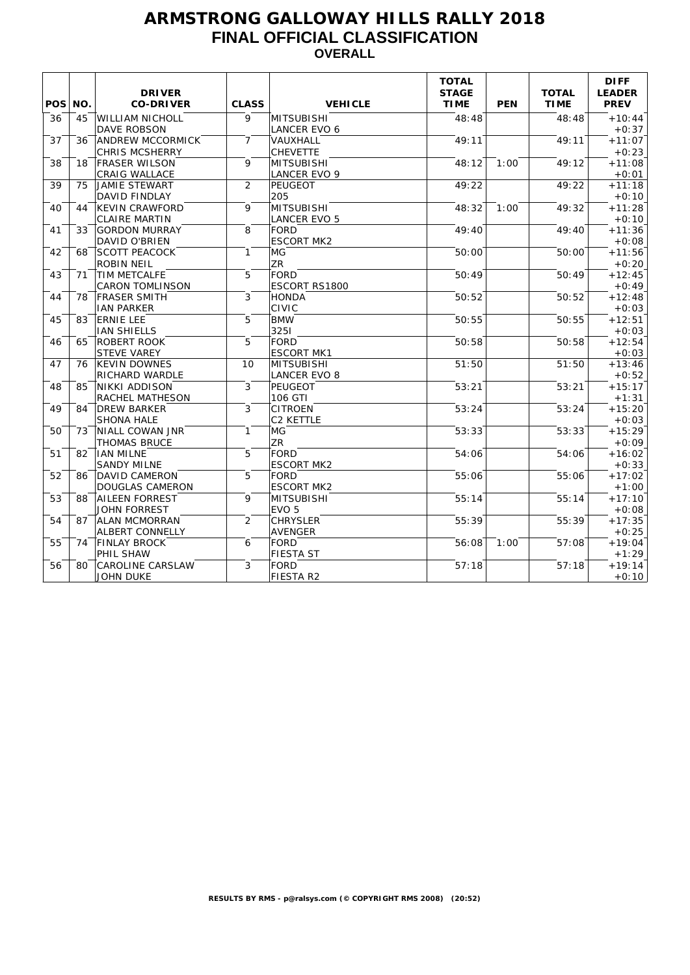## **ARMSTRONG GALLOWAY HILLS RALLY 2018 FINAL OFFICIAL CLASSIFICATION OVERALL**

| POS NO. |    | <b>DRIVER</b><br><b>CO-DRIVER</b>                | <b>CLASS</b>   | <b>VEHICLE</b>                        | <b>TOTAL</b><br><b>STAGE</b><br><b>TIME</b> | <b>PEN</b> | <b>TOTAL</b><br><b>TIME</b> | <b>DIFF</b><br><b>LEADER</b><br><b>PREV</b> |
|---------|----|--------------------------------------------------|----------------|---------------------------------------|---------------------------------------------|------------|-----------------------------|---------------------------------------------|
| 36      | 45 | <b>WILLIAM NICHOLL</b><br><b>DAVE ROBSON</b>     | $\mathsf{Q}$   | ™TSUBISHI∏<br><b>LANCER EVO 6</b>     | 48:48                                       |            | 48:48                       | $+10:44$<br>$+0:37$                         |
| 37      | 36 | <b>ANDREW MCCORMICK</b><br><b>CHRIS MCSHERRY</b> | $\overline{7}$ | VAUXHALL<br><b>CHEVETTE</b>           | 49:11                                       |            | 49:11                       | $+11:07$<br>$+0:23$                         |
| 38      | 18 | <b>FRASER WILSON</b>                             | 9              | MITSUBISHI                            | 48:12                                       | 1:00       | 49:12                       | $+11:08$                                    |
| 39      | 75 | CRAIG WALLACE<br>JAMIE STEWART                   | $\overline{2}$ | <b>LANCER EVO 9</b><br><b>PEUGEOT</b> | 49:22                                       |            | 49:22                       | $+0:01$<br>$+11:18$                         |
| 40      | 44 | <b>DAVID FINDLAY</b><br><b>KEVIN CRAWFORD</b>    | 9              | 205<br><b>MITSUBISHI</b>              | 48:32                                       | 1:00       | 49:32                       | $+0:10$<br>$+11:28$                         |
| 41      | 33 | <b>CLAIRE MARTIN</b><br><b>GORDON MURRAY</b>     | 8              | LANCER EVO 5<br>FORD                  | 49:40                                       |            | 49:40                       | $+0:10$<br>$+11:36$                         |
| 42      | 68 | <b>DAVID O'BRIEN</b><br><b>SCOTT PEACOCK</b>     | $\mathbf{1}$   | <b>ESCORT MK2</b><br>MG               | 50:00                                       |            | 50:00                       | $+0:08$<br>$+11:56$                         |
| 43      | 71 | <b>ROBIN NEIL</b><br><b>TIM METCALFE</b>         | 5              | <b>ZR</b><br>FORD                     | 50:49                                       |            | 50:49                       | $+0:20$<br>$+12:45$                         |
| 44      | 78 | <b>CARON TOMLINSON</b><br><b>FRASER SMITH</b>    | 3              | <b>ESCORT RS1800</b><br>HONDA         | 50:52                                       |            | 50:52                       | $+0:49$<br>$+12:48$                         |
| 45      | 83 | <b>IAN PARKER</b><br><b>ERNIE LEE</b>            | 5              | <b>CIVIC</b><br><b>BMW</b>            | 50:55                                       |            | 50:55                       | $+0:03$<br>$+12:51$                         |
| 46      | 65 | <b>IAN SHIELLS</b><br>ROBERT ROOK                | 5              | 3251<br><b>FORD</b>                   | 50:58                                       |            | 50:58                       | $+0:03$<br>$+12:54$                         |
|         |    | <b>STEVE VAREY</b>                               |                | <b>ESCORT MK1</b>                     |                                             |            |                             | $+0:03$                                     |
| 47      | 76 | <b>KEVIN DOWNES</b><br><b>RICHARD WARDLE</b>     | 10             | MITSUBISHI<br><b>LANCER EVO 8</b>     | 51:50                                       |            | 51:50                       | $+13:46$<br>$+0:52$                         |
| 48      | 85 | NIKKI ADDISON<br><b>RACHEL MATHESON</b>          | 3              | PEUGEOT<br>106 GTI                    | 53:21                                       |            | 53:21                       | $+15:17$<br>$+1:31$                         |
| 49      | 84 | <b>DREW BARKER</b><br><b>SHONA HALE</b>          | 3              | <b>CITROEN</b><br><b>C2 KETTLE</b>    | 53:24                                       |            | 53:24                       | $+15:20$<br>$+0:03$                         |
| 50      | 73 | NIALL COWAN JNR<br>THOMAS BRUCE                  | $\mathbf{1}$   | MG.<br><b>ZR</b>                      | 53:33                                       |            | 53:33                       | $+15:29$<br>$+0:09$                         |
| 51      | 82 | <b>IAN MILNE</b><br><b>SANDY MILNE</b>           | 5              | <b>FORD</b><br><b>ESCORT MK2</b>      | 54:06                                       |            | 54:06                       | $+16:02$<br>$+0:33$                         |
| 52      | 86 | <b>DAVID CAMERON</b><br><b>DOUGLAS CAMERON</b>   | 5              | FORD<br><b>ESCORT MK2</b>             | 55:06                                       |            | 55:06                       | $+17:02$<br>$+1:00$                         |
| 53      | 88 | <b>AILEEN FORREST</b><br>JOHN FORREST            | 9              | MITSUBISHI<br>EVO 5                   | 55:14                                       |            | 55:14                       | $+17:10$<br>$+0:08$                         |
| 54      | 87 | <b>ALAN MCMORRAN</b><br><b>ALBERT CONNELLY</b>   | $\overline{2}$ | <b>CHRYSLER</b><br>AVENGER            | 55:39                                       |            | 55:39                       | $+17:35$<br>$+0:25$                         |
| 55      | 74 | <b>FINLAY BROCK</b><br>PHIL SHAW                 | 6              | FORD<br>FIESTA ST                     | 56:08                                       | 1:00       | 57:08                       | $+19:04$<br>$+1:29$                         |
| 56      | 80 | <b>CAROLINE CARSLAW</b><br><b>JOHN DUKE</b>      | 3              | FORD<br>FIESTA R2                     | 57:18                                       |            | 57:18                       | $+19:14$<br>$+0:10$                         |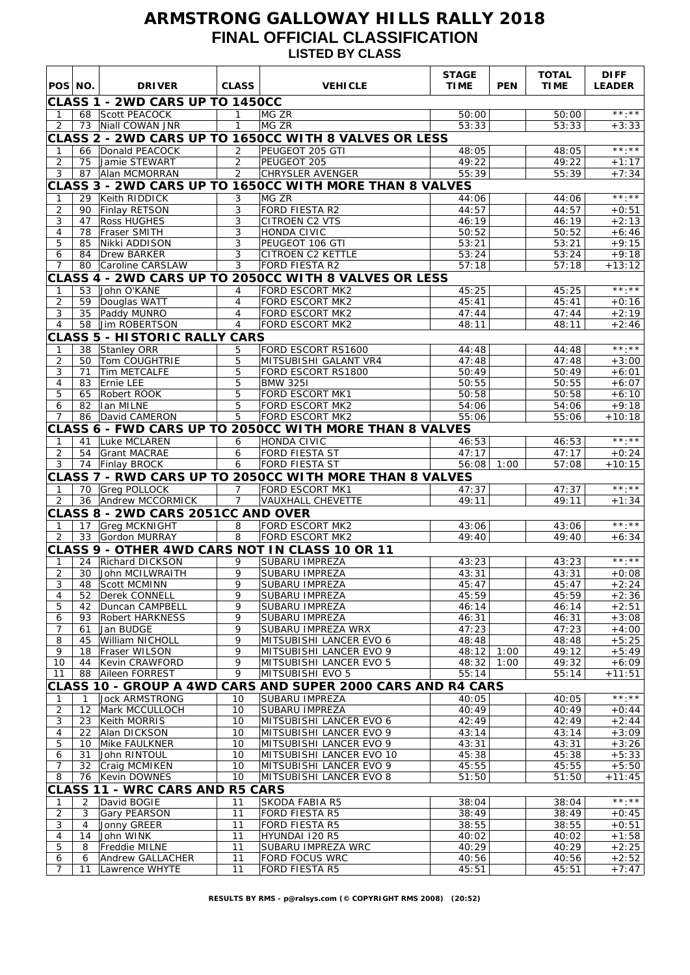## **ARMSTRONG GALLOWAY HILLS RALLY 2018 FINAL OFFICIAL CLASSIFICATION LISTED BY CLASS**

| POS NO.             |                      | <b>DRIVER</b>                          | <b>CLASS</b>                     | <b>VEHICLE</b>                                                                  | <b>STAGE</b><br><b>TIME</b> | <b>PEN</b> | <b>TOTAL</b><br><b>TIME</b> | <b>DIFF</b><br><b>LEADER</b> |
|---------------------|----------------------|----------------------------------------|----------------------------------|---------------------------------------------------------------------------------|-----------------------------|------------|-----------------------------|------------------------------|
|                     |                      | CLASS 1 - 2WD CARS UP TO 1450CC        |                                  |                                                                                 |                             |            |                             |                              |
| 1                   | 68                   | Scott PEACOCK                          | $\mathbf{1}$                     | MG ZR                                                                           | 50:00                       |            | 50:00                       | $\star\star$ . $\star\star$  |
| 2                   |                      | 73 Niall COWAN JNR                     | $\mathbf{1}$                     | MG ZR                                                                           | 53:33                       |            | 53:33                       | $+3:33$                      |
|                     |                      |                                        |                                  | CLASS 2 - 2WD CARS UP TO 1650CC WITH 8 VALVES OR LESS                           |                             |            |                             |                              |
| $\mathbf{1}$        | 66                   | Donald PEACOCK                         | 2                                | PEUGEOT 205 GTI                                                                 | 48:05                       |            | 48:05                       | $***.**$                     |
| $\overline{c}$<br>3 | 75<br>87             | Jamie STEWART<br>Alan MCMORRAN         | $\overline{2}$<br>$\overline{2}$ | PEUGEOT 205<br><b>CHRYSLER AVENGER</b>                                          | 49:22<br>55:39              |            | 49:22<br>55:39              | $+1:17$<br>$+7:34$           |
|                     |                      |                                        |                                  | CLASS 3 - 2WD CARS UP TO 1650CC WITH MORE THAN 8 VALVES                         |                             |            |                             |                              |
| 1                   | 29                   | Keith RIDDICK                          | 3                                | MG ZR                                                                           | 44:06                       |            | 44:06                       | $***.**$                     |
| 2                   | 90                   | Finlay RETSON                          | 3                                | FORD FIESTA R2                                                                  | 44:57                       |            | 44:57                       | $+0:51$                      |
| 3                   | 47                   | <b>Ross HUGHES</b>                     | 3                                | <b>CITROEN C2 VTS</b>                                                           | 46:19                       |            | 46:19                       | $+2:13$                      |
| 4<br>5              | 78<br>85             | <b>Fraser SMITH</b><br>Nikki ADDISON   | 3<br>3                           | HONDA CIVIC<br>PEUGEOT 106 GTI                                                  | 50:52<br>53:21              |            | 50:52<br>53:21              | $+6:46$<br>$+9:15$           |
| 6                   | 84                   | Drew BARKER                            | 3                                | <b>CITROEN C2 KETTLE</b>                                                        | 53:24                       |            | 53:24                       | $+9:18$                      |
| 7                   | 80                   | Caroline CARSLAW                       | 3                                | FORD FIESTA R2                                                                  | 57:18                       |            | 57:18                       | $+13:12$                     |
|                     |                      |                                        |                                  | CLASS 4 - 2WD CARS UP TO 2050CC WITH 8 VALVES OR LESS                           |                             |            |                             |                              |
| 1                   | 53                   | John O'KANE                            | $\overline{4}$                   | FORD ESCORT MK2                                                                 | 45:25                       |            | 45:25                       | $***.**$                     |
| $\overline{2}$<br>3 | 59<br>35             | Douglas WATT<br>Paddy MUNRO            | $\overline{4}$<br>$\overline{4}$ | <b>FORD ESCORT MK2</b><br>FORD ESCORT MK2                                       | 45:41<br>47:44              |            | 45:41<br>47:44              | $+0:16$<br>$+2:19$           |
| $\overline{4}$      | 58                   | Jim ROBERTSON                          | $\overline{4}$                   | FORD ESCORT MK2                                                                 | 48:11                       |            | 48:11                       | $+2:46$                      |
|                     |                      | <b>CLASS 5 - HISTORIC RALLY CARS</b>   |                                  |                                                                                 |                             |            |                             |                              |
| 1                   | 38                   | Stanley ORR                            | 5                                | FORD ESCORT RS1600                                                              | 44:48                       |            | 44:48                       | $\star\star$ . $\star\star$  |
| 2                   | 50                   | Tom COUGHTRIE                          | 5                                | MITSUBISHI GALANT VR4                                                           | 47:48                       |            | 47:48                       | $+3:00$                      |
| 3                   | 71                   | Tim METCALFE                           | 5                                | FORD ESCORT RS1800<br><b>BMW 3251</b>                                           | 50:49                       |            | 50:49                       | $+6:01$                      |
| 4<br>5              | 83<br>65             | Ernie LEE<br>Robert ROOK               | 5<br>5                           | FORD ESCORT MK1                                                                 | 50:55<br>50:58              |            | 50:55<br>50:58              | $+6:07$<br>$+6:10$           |
| 6                   | 82                   | Ian MILNE                              | 5                                | FORD ESCORT MK2                                                                 | 54:06                       |            | 54:06                       | $+9:18$                      |
| 7                   | 86                   | David CAMERON                          | 5                                | FORD ESCORT MK2                                                                 | 55:06                       |            | 55:06                       | $+10:18$                     |
|                     |                      |                                        |                                  | CLASS 6 - FWD CARS UP TO 2050CC WITH MORE THAN 8 VALVES                         |                             |            |                             |                              |
| $\mathbf{1}$        | 41                   | Luke MCLAREN                           | 6                                | HONDA CIVIC                                                                     | 46:53                       |            | 46:53                       | $\star\star\star\star\star$  |
| $\overline{2}$<br>3 | 54<br>74             | <b>Grant MACRAE</b><br>Finlay BROCK    | 6<br>6                           | <b>FORD FIESTA ST</b><br>FORD FIESTA ST                                         | 47:17<br>56:08              | 1:00       | 47:17<br>57:08              | $+0:24$<br>$+10:15$          |
|                     |                      |                                        |                                  | CLASS 7 - RWD CARS UP TO 2050CC WITH MORE THAN 8 VALVES                         |                             |            |                             |                              |
| 1                   | 70                   | <b>Greg POLLOCK</b>                    | 7                                | FORD ESCORT MK1                                                                 | 47:37                       |            | 47:37                       | $\star\star$ . $\star\star$  |
| 2                   | 36                   | Andrew MCCORMICK                       | $\overline{7}$                   | <b>VAUXHALL CHEVETTE</b>                                                        | 49:11                       |            | 49:11                       | $+1:34$                      |
|                     |                      | CLASS 8 - 2WD CARS 2051CC AND OVER     |                                  |                                                                                 |                             |            |                             |                              |
| $\mathbf{1}$        | 17                   | <b>Grea MCKNIGHT</b>                   | 8                                | <b>FORD ESCORT MK2</b>                                                          | 43:06                       |            | 43:06                       | $\star\star\cdot\star\star$  |
| 2                   | 33                   | Gordon MURRAY                          | $\overline{8}$                   | FORD ESCORT MK2                                                                 | 49:40                       |            | 49:40                       | $+6:34$                      |
| 1                   | 24                   | Richard DICKSON                        | 9                                | CLASS 9 - OTHER 4WD CARS NOT IN CLASS 10 OR 11<br>SUBARU IMPREZA                | 43:23                       |            | 43:23                       | $***.**$                     |
| $\overline{2}$      | 30                   | John MCILWRAITH                        | 9                                | SUBARU IMPREZA                                                                  | 43:31                       |            | 43:31                       | $+0:08$                      |
| 3                   | 48                   | Scott MCMINN                           | 9                                | SUBARU IMPREZA                                                                  | 45:47                       |            | 45:47                       | $+2:24$                      |
| 4                   | 52                   | Derek CONNELL                          | 9                                | <b>SUBARU IMPREZA</b>                                                           | 45:59                       |            | 45:59                       | $+2:36$                      |
| 5                   | 42                   | Duncan CAMPBELL                        | 9                                | SUBARU IMPREZA                                                                  | 46:14                       |            | 46:14                       | $+2:51$<br>$+3:08$           |
| 6<br>7              | 93<br>61             | <b>Robert HARKNESS</b><br>Jan BUDGE    | 9<br>9                           | SUBARU IMPREZA<br>SUBARU IMPREZA WRX                                            | 46:31<br>47:23              |            | 46:31<br>47:23              | $+4:00$                      |
| 8                   | 45                   | William NICHOLL                        | 9                                | MITSUBISHI LANCER EVO 6                                                         | 48:48                       |            | 48:48                       | $+5:25$                      |
| 9                   | 18                   | Fraser WILSON                          | 9                                | MITSUBISHI LANCER EVO 9                                                         | 48:12                       | 1:00       | 49:12                       | $+5:49$                      |
| 10                  | 44                   | Kevin CRAWFORD                         | 9                                | MITSUBISHI LANCER EVO 5                                                         | 48:32                       | 1:00       | 49:32                       | $+6:09$                      |
| 11                  | 88                   | Aileen FORREST                         | 9                                | MITSUBISHI EVO 5<br>CLASS 10 - GROUP A 4WD CARS AND SUPER 2000 CARS AND R4 CARS | 55:14                       |            | 55:14                       | $+11:51$                     |
| 1                   | $\mathbf{1}$         | <b>Jock ARMSTRONG</b>                  | 10                               | <b>SUBARU IMPREZA</b>                                                           | 40:05                       |            | 40:05                       | $***.**$                     |
| $\overline{c}$      | 12                   | Mark MCCULLOCH                         | 10                               | SUBARU IMPREZA                                                                  | 40:49                       |            | 40:49                       | $+0:44$                      |
| 3                   | 23                   | Keith MORRIS                           | 10                               | MITSUBISHI LANCER EVO 6                                                         | 42:49                       |            | 42:49                       | $+2:44$                      |
| 4                   | 22                   | Alan DICKSON                           | 10                               | MITSUBISHI LANCER EVO 9                                                         | 43:14                       |            | 43:14                       | $+3:09$                      |
| 5<br>6              | 10<br>31             | Mike FAULKNER<br>John RINTOUL          | 10<br>10                         | MITSUBISHI LANCER EVO 9<br>MITSUBISHI LANCER EVO 10                             | 43:31<br>45:38              |            | 43:31<br>45:38              | $+3:26$<br>$+5:33$           |
| 7                   | 32                   | Craig MCMIKEN                          | 10                               | MITSUBISHI LANCER EVO 9                                                         | 45:55                       |            | 45:55                       | $+5:50$                      |
| 8                   | 76                   | Kevin DOWNES                           | 10                               | MITSUBISHI LANCER EVO 8                                                         | 51:50                       |            | 51:50                       | $+11:45$                     |
|                     |                      | <b>CLASS 11 - WRC CARS AND R5 CARS</b> |                                  |                                                                                 |                             |            |                             |                              |
| 1                   | 2                    | David BOGIE                            | 11                               | SKODA FABIA R5                                                                  | 38:04                       |            | 38:04                       | $***.**$                     |
| 2                   | 3                    | Gary PEARSON                           | 11                               | <b>FORD FIESTA R5</b>                                                           | 38:49                       |            | 38:49                       | $+0:45$                      |
| 3<br>4              | $\overline{4}$<br>14 | Jonny GREER<br>John WINK               | 11<br>11                         | <b>FORD FIESTA R5</b><br>HYUNDAI 120 R5                                         | 38:55<br>40:02              |            | 38:55<br>40:02              | $+0:51$<br>$+1:58$           |
| 5                   | 8                    | Freddie MILNE                          | 11                               | SUBARU IMPREZA WRC                                                              | 40:29                       |            | 40:29                       | $+2:25$                      |
| 6                   | 6                    | <b>Andrew GALLACHER</b>                | 11                               | <b>FORD FOCUS WRC</b>                                                           | 40:56                       |            | 40:56                       | $+2:52$                      |
| $\overline{7}$      | 11                   | Lawrence WHYTE                         | 11                               | <b>FORD FIESTA R5</b>                                                           | 45:51                       |            | 45:51                       | $+7:47$                      |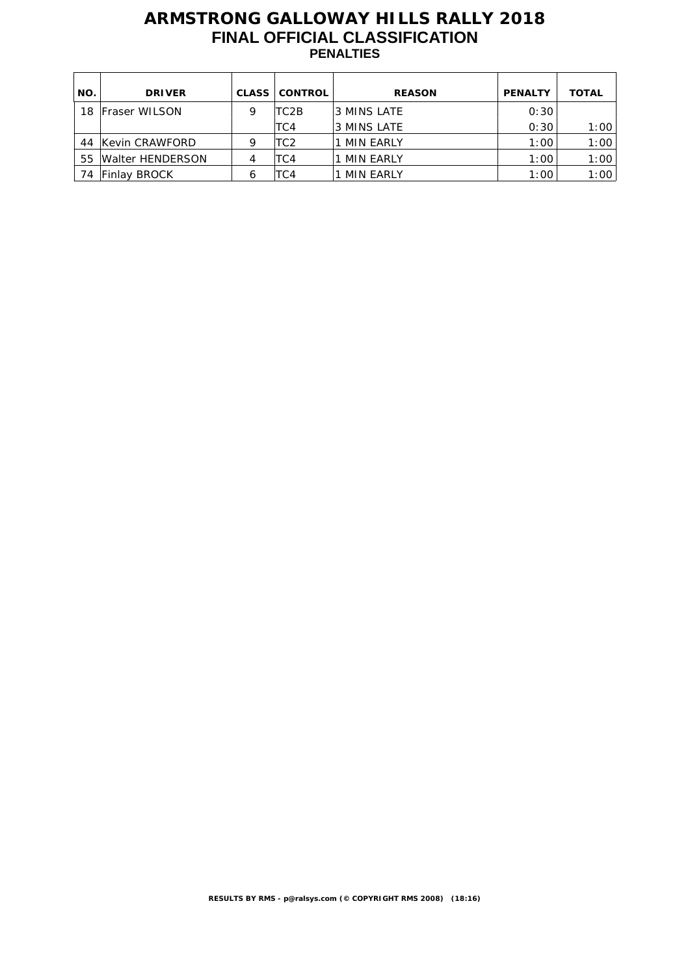## **ARMSTRONG GALLOWAY HILLS RALLY 2018 FINAL OFFICIAL CLASSIFICATION PENALTIES**

| NO. | <b>DRIVER</b>        | <b>CLASS</b> | <b>CONTROL</b> | <b>REASON</b>    | <b>PENALTY</b> | <b>TOTAL</b> |
|-----|----------------------|--------------|----------------|------------------|----------------|--------------|
| 18  | <b>Fraser WILSON</b> | 9            | TC2B           | l3 MINS LATE     | 0:30           |              |
|     |                      |              | TC4            | 3 MINS LATE      | 0:30           | 1:00         |
| 44  | Kevin CRAWFORD       | 9            | TC2            | <b>MIN EARLY</b> | 1:00           | 1:00         |
| 55  | Walter HENDERSON     | 4            | TC4            | MIN EARLY        | 1:00           | 1:00         |
| 74  | <b>Finlay BROCK</b>  | 6            | TC4            | <b>MIN EARLY</b> | 1:00           | 1:00         |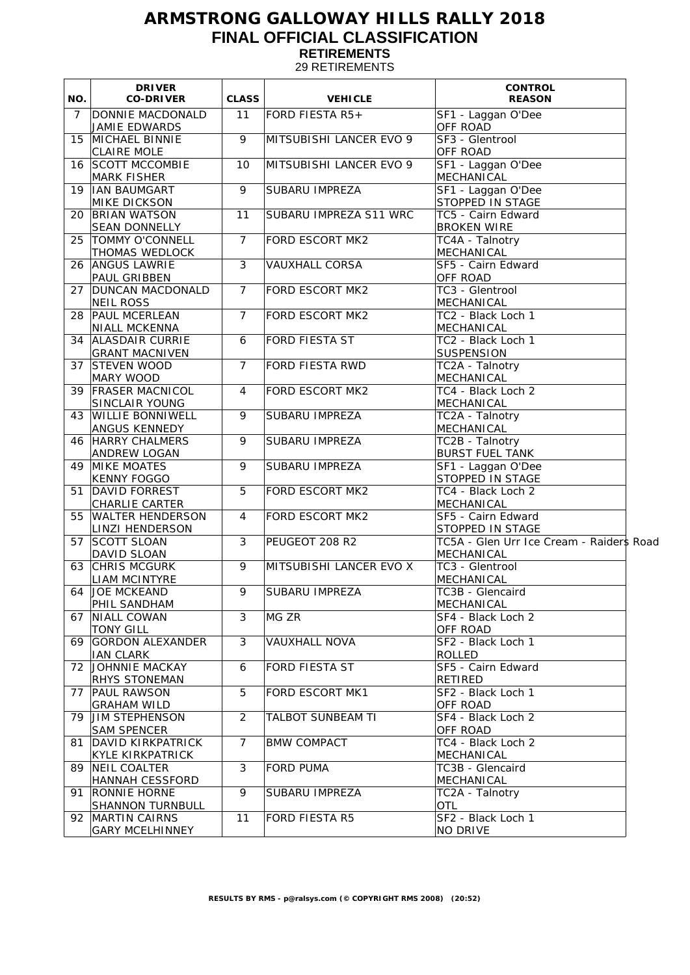## **ARMSTRONG GALLOWAY HILLS RALLY 2018 FINAL OFFICIAL CLASSIFICATION RETIREMENTS**

29 RETIREMENTS

| NO.            | <b>DRIVER</b><br><b>CO-DRIVER</b>               | <b>CLASS</b>   | <b>VEHICLE</b>          | <b>CONTROL</b><br><b>REASON</b>                        |
|----------------|-------------------------------------------------|----------------|-------------------------|--------------------------------------------------------|
| $\overline{7}$ | DONNIE MACDONALD<br>JAMIE EDWARDS               | 11             | FORD FIESTA R5+         | SF1 - Laggan O'Dee<br>OFF ROAD                         |
|                | 15 MICHAEL BINNIE<br><b>CLAIRE MOLE</b>         | 9              | MITSUBISHI LANCER EVO 9 | SF3 - Glentrool<br><b>OFF ROAD</b>                     |
|                | 16 SCOTT MCCOMBIE<br>MARK FISHER                | 10             | MITSUBISHI LANCER EVO 9 | SF1 - Laggan O'Dee<br>MECHANICAL                       |
|                | 19  IAN BAUMGART<br><b>MIKE DICKSON</b>         | 9              | <b>SUBARU IMPREZA</b>   | SF1 - Laggan O'Dee<br>STOPPED IN STAGE                 |
|                | 20 BRIAN WATSON<br><b>SEAN DONNELLY</b>         | 11             | SUBARU IMPREZA S11 WRC  | TC5 - Cairn Edward<br><b>BROKEN WIRE</b>               |
|                | 25   TOMMY O'CONNELL<br>THOMAS WEDLOCK          | $\overline{7}$ | <b>FORD ESCORT MK2</b>  | TC4A - Talnotry<br>MECHANICAL                          |
|                | 26 ANGUS LAWRIE<br>PAUL GRIBBEN                 | 3              | <b>VAUXHALL CORSA</b>   | SF5 - Cairn Edward<br><b>OFF ROAD</b>                  |
| 27             | DUNCAN MACDONALD<br><b>NEIL ROSS</b>            | $\overline{7}$ | FORD ESCORT MK2         | TC3 - Glentrool<br>MECHANICAL                          |
|                | 28 PAUL MCERLEAN<br><b>NIALL MCKENNA</b>        | $\overline{7}$ | <b>FORD ESCORT MK2</b>  | TC2 - Black Loch 1<br>MECHANICAL                       |
|                | 34 ALASDAIR CURRIE<br><b>GRANT MACNIVEN</b>     | 6              | FORD FIESTA ST          | TC2 - Black Loch 1<br><b>SUSPENSION</b>                |
|                | 37 STEVEN WOOD<br>Mary Wood                     | $\overline{7}$ | <b>FORD FIESTA RWD</b>  | TC2A - Talnotry<br>MECHANICAL                          |
|                | 39 FRASER MACNICOL<br><b>SINCLAIR YOUNG</b>     | 4              | FORD ESCORT MK2         | TC4 - Black Loch 2<br>MECHANICAL                       |
| 43             | <b>WILLIE BONNIWELL</b><br><b>ANGUS KENNEDY</b> | 9              | SUBARU IMPREZA          | TC2A - Talnotry<br>MECHANICAL                          |
|                | 46 HARRY CHALMERS<br>ANDREW LOGAN               | 9              | SUBARU IMPREZA          | TC2B - Talnotry<br><b>BURST FUEL TANK</b>              |
|                | 49 MIKE MOATES<br><b>KENNY FOGGO</b>            | 9              | SUBARU IMPREZA          | SF1 - Laggan O'Dee<br>STOPPED IN STAGE                 |
|                | 51 DAVID FORREST<br>CHARLIE CARTER              | 5              | FORD ESCORT MK2         | TC4 - Black Loch 2<br>MECHANICAL                       |
|                | 55   WALTER HENDERSON<br>LINZI HENDERSON        | 4              | FORD ESCORT MK2         | SF5 - Cairn Edward<br>STOPPED IN STAGE                 |
|                | 57   SCOTT SLOAN<br>DAVID SLOAN                 | 3              | PEUGEOT 208 R2          | TC5A - Glen Urr Ice Cream - Raiders Road<br>MECHANICAL |
|                | 63 CHRIS MCGURK<br><b>LIAM MCINTYRE</b>         | 9              | MITSUBISHI LANCER EVO X | TC3 - Glentrool<br>MECHANICAL                          |
|                | 64 JOE MCKEAND<br>PHIL SANDHAM                  | 9              | <b>SUBARU IMPREZA</b>   | TC3B - Glencaird<br>MECHANICAL                         |
| 67             | NIALL COWAN<br><b>TONY GILL</b>                 | 3              | Mg Zr                   | SF4 - Black Loch 2<br>OFF ROAD                         |
|                | 69 GORDON ALEXANDER<br><b>IAN CLARK</b>         | 3              | <b>VAUXHALL NOVA</b>    | SF2 - Black Loch 1<br><b>ROLLED</b>                    |
|                | 72 JOHNNIE MACKAY<br><b>RHYS STONEMAN</b>       | 6              | FORD FIESTA ST          | SF5 - Cairn Edward<br><b>RETIRED</b>                   |
| 77             | PAUL RAWSON<br><b>GRAHAM WILD</b>               | 5              | FORD ESCORT MK1         | SF2 - Black Loch 1<br>OFF ROAD                         |
|                | 79 JIM STEPHENSON<br><b>SAM SPENCER</b>         | 2              | TALBOT SUNBEAM TI       | SF4 - Black Loch 2<br>OFF ROAD                         |
| 81             | DAVID KIRKPATRICK<br><b>KYLE KIRKPATRICK</b>    | $\overline{7}$ | <b>BMW COMPACT</b>      | TC4 - Black Loch 2<br>MECHANICAL                       |
|                | 89 NEIL COALTER<br><b>HANNAH CESSFORD</b>       | $\mathfrak{Z}$ | <b>FORD PUMA</b>        | TC3B - Glencaird<br>MECHANICAL                         |
|                | 91 RONNIE HORNE<br><b>SHANNON TURNBULL</b>      | 9              | SUBARU IMPREZA          | TC2A - Talnotry<br><b>OTL</b>                          |
|                | 92 MARTIN CAIRNS<br><b>GARY MCELHINNEY</b>      | 11             | FORD FIESTA R5          | SF2 - Black Loch 1<br>NO DRIVE                         |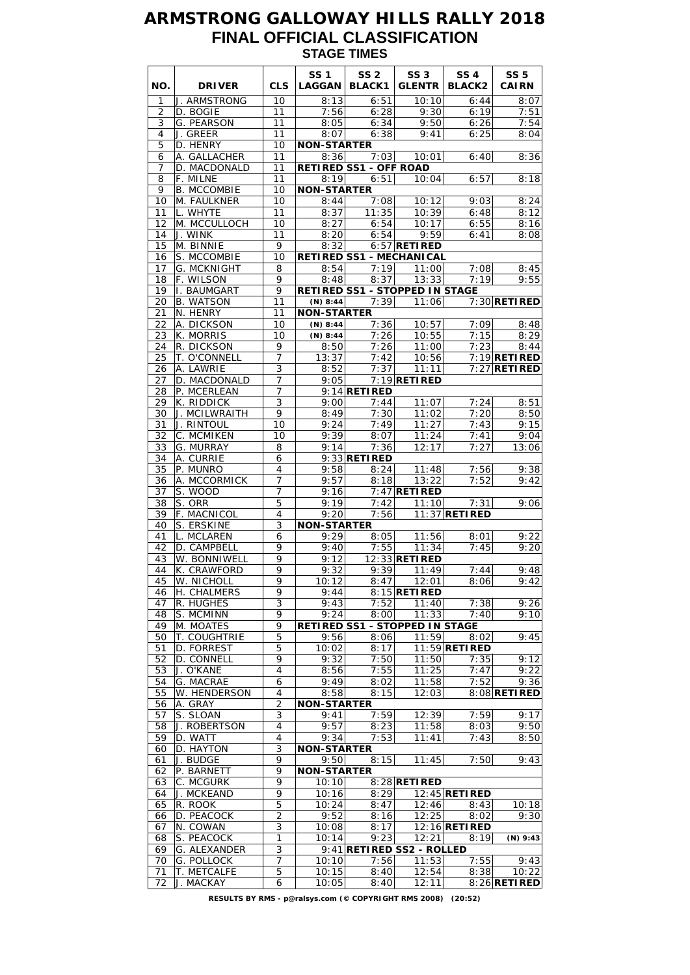## **ARMSTRONG GALLOWAY HILLS RALLY 2018 FINAL OFFICIAL CLASSIFICATION STAGE TIMES**

| NO.            | <b>DRIVER</b>              | <b>CLS</b>                     | <b>SS1</b><br><b>LAGGAN</b> | <b>SS 2</b><br><b>BLACK1</b>                  | <b>SS 3</b><br><b>GLENTR</b> | <b>SS4</b><br><b>BLACK2</b> | <b>SS 5</b><br><b>CAIRN</b>      |
|----------------|----------------------------|--------------------------------|-----------------------------|-----------------------------------------------|------------------------------|-----------------------------|----------------------------------|
| 1              | J. ARMSTRONG               | 10                             | 8:13                        | 6:51                                          | 10:10                        | 6:44                        | 8:07                             |
| $\overline{2}$ | D. BOGIE                   | 11                             | 7:56                        | 6:28                                          | 9:30                         | 6:19                        | 7:51                             |
| 3              | G. PEARSON                 | 11                             | 8:05<br>8:07                | 6:34                                          | 9:50                         | 6:26                        | 7:54                             |
| 4<br>5         | J. GREER<br>D. HENRY       | 11<br>10                       | <b>NON-STARTER</b>          | 6:38                                          | 9:41                         | 6:25                        | 8:04                             |
| 6              | A. GALLACHER               | 11                             | 8:36                        | 7:03                                          | 10:01                        | 6:40                        | 8:36                             |
| 7              | D. MACDONALD               | 11                             |                             | <b>RETIRED SS1 - OFF ROAD</b>                 |                              |                             |                                  |
| 8              | F. MILNE                   | 11                             | 8:19                        | 6:51                                          | 10:04                        | 6:57                        | 8:18                             |
| 9              | <b>B. MCCOMBIE</b>         | 10                             | <b>NON-STARTER</b>          |                                               |                              |                             |                                  |
| 10<br>11       | M. FAULKNER<br>L. WHYTE    | 10<br>11                       | 8:44<br>8:37                | 7:08<br>11:35                                 | 10:12<br>10:39               | 9:03<br>6:48                | 8:24<br>8:12                     |
| 12             | M. MCCULLOCH               | 10                             | 8:27                        | 6:54                                          | 10:17                        | 6:55                        | 8:16                             |
| 14             | J. WINK                    | 11                             | 8:20                        | 6:54                                          | 9:59                         | 6:41                        | 8:08                             |
| 15             | M. BINNIE                  | 9                              | 8:32                        |                                               | 6:57 RETIRED                 |                             |                                  |
| 16             | S. MCCOMBIE                | 10                             |                             | RETIRED SS1 - MECHANICAL                      |                              |                             |                                  |
| 17             | G. MCKNIGHT                | 8                              | 8:54                        | 7:19                                          | 11:00                        | 7:08                        | 8:45                             |
| 18<br>19       | F. WILSON<br>I. BAUMGART   | 9<br>9                         | 8:48                        | 8:37<br><b>RETIRED SS1 - STOPPED IN STAGE</b> | 13:33                        | 7:19                        | 9:55                             |
| 20             | <b>B. WATSON</b>           | 11                             | (N) $8:44$                  | 7:39                                          | 11:06                        |                             | $7:30$ RETIRED                   |
| 21             | N. HENRY                   | 11                             | <b>NON-STARTER</b>          |                                               |                              |                             |                                  |
| 22             | A. DICKSON                 | 10                             | (N) $8:44$                  | 7:36                                          | 10:57                        | 7:09                        | 8:48                             |
| 23             | K. MORRIS                  | 10                             | (N) $8:44$                  | 7:26                                          | 10:55                        | 7:15                        | 8:29                             |
| 24             | R. DICKSON                 | 9                              | 8:50                        | 7:26                                          | 11:00                        | 7:23                        | 8:44                             |
| 25<br>26       | T. O'CONNELL<br>A. LAWRIE  | 7<br>3                         | 13:37<br>8:52               | 7:42<br>7:37                                  | 10:56<br>11:11               |                             | $7:19$ RETIRED<br>$7:27$ RETIRED |
| 27             | D. MACDONALD               | $\overline{7}$                 | 9:05                        |                                               | $7:19$ RETIRED               |                             |                                  |
| 28             | P. MCERLEAN                | 7                              |                             | $9:14$ RETIRED                                |                              |                             |                                  |
| 29             | K. RIDDICK                 | 3                              | 9:00                        | 7:44                                          | 11:07                        | 7:24                        | 8:51                             |
| 30             | J. MCILWRAITH              | 9                              | 8:49                        | 7:30                                          | 11:02                        | 7:20                        | 8:50                             |
| 31             | J. RINTOUL                 | 10                             | 9:24                        | 7:49                                          | 11:27                        | 7:43                        | 9:15                             |
| 32             | C. MCMIKEN                 | 10                             | 9:39                        | 8:07                                          | 11:24                        | 7:41                        | 9:04                             |
| 33<br>34       | G. MURRAY<br>A. CURRIE     | 8<br>6                         | 9:14                        | 7:36<br>$9:33$ RETIRED                        | 12:17                        | 7:27                        | 13:06                            |
| 35             | P. MUNRO                   | $\overline{4}$                 | 9:58                        | 8:24                                          | 11:48                        | 7:56                        | 9:38                             |
| 36             | A. MCCORMICK               | 7                              | 9:57                        | 8:18                                          | 13:22                        | 7:52                        | 9:42                             |
| 37             | S. WOOD                    | $\overline{7}$                 | 9:16                        |                                               | $7:47$ RETIRED               |                             |                                  |
| 38             | S. ORR                     | $\overline{5}$                 | 9:19                        | 7:42                                          | 11:10                        | 7:31                        | 9:06                             |
| 39<br>40       | F. MACNICOL<br>S. ERSKINE  | $\overline{\mathbf{4}}$<br>3   | 9:20<br><b>NON-STARTER</b>  | 7:56                                          |                              | 11:37 RETIRED               |                                  |
| 41             | L. MCLAREN                 | 6                              | 9:29                        | 8:05                                          | 11:56                        | 8:01                        | 9:22                             |
| 42             | D. CAMPBELL                | 9                              | 9:40                        | 7:55                                          | 11:34                        | 7:45                        | 9:20                             |
| 43             | W. BONNIWELL               | 9                              | 9:12                        |                                               | 12:33 RETIRED                |                             |                                  |
| 44             | K. CRAWFORD                | 9                              | 9:32                        | 9:39                                          | 11:49                        | 7:44                        | 9:48                             |
| 45             | <b>W. NICHOLL</b>          | 9                              | 10:12                       | 8:47                                          | 12:01                        | 8:06                        | 9:42                             |
| 46<br>47       | H. CHALMERS<br>R. HUGHES   | 9<br>3                         | 9:44<br>9:43                | 7:52                                          | 8:15 RETIRED<br>11:40        | 7:38                        | 9:26                             |
| 48             | S. MCMINN                  | 9                              | 9:24                        | 8:00                                          | 11:33                        | 7:40                        | 9:10                             |
| 49             | M. MOATES                  | 9                              |                             | RETIRED SS1 - STOPPED IN STAGE                |                              |                             |                                  |
| 50             | T. COUGHTRIE               | 5                              | 9:56                        | 8:06                                          | 11:59                        | 8:02                        | 9:45                             |
| 51             | D. FORREST                 | 5                              | 10:02                       | 8:17                                          |                              | $11:59$ RETIRED             |                                  |
| 52             | D. CONNELL                 | 9                              | 9:32                        | 7:50                                          | 11:50                        | 7:35                        | 9:12                             |
| 53<br>54       | J. O'KANE<br>G. MACRAE     | 4                              | 8:56<br>9:49                | 7:55<br>8:02                                  | 11:25<br>11:58               | 7:47<br>7:52                | 9:22<br>9:36                     |
| 55             | W. HENDERSON               | 6<br>4                         | 8:58                        | 8:15                                          | 12:03                        |                             | 8:08 RETIRED                     |
| 56             | A. GRAY                    | $\overline{2}$                 | <b>NON-STARTER</b>          |                                               |                              |                             |                                  |
| 57             | S. SLOAN                   | 3                              | 9:41                        | 7:59                                          | 12:39                        | 7:59                        | 9:17                             |
| 58             | J. ROBERTSON               | 4                              | 9:57                        | 8:23                                          | 11:58                        | 8:03                        | 9:50                             |
| 59             | D. WATT                    | 4                              | 9:34                        | 7:53                                          | 11:41                        | 7:43                        | 8:50                             |
| 60             | D. HAYTON                  | 3                              | <b>NON-STARTER</b>          |                                               |                              |                             |                                  |
| 61<br>62       | J. BUDGE<br>P. BARNETT     | 9<br>9                         | 9:50<br><b>NON-STARTER</b>  | 8:15                                          | 11:45                        | 7:50                        | 9:43                             |
| 63             | C. MCGURK                  | 9                              | 10:10                       |                                               | 8:28 RETIRED                 |                             |                                  |
| 64             | J. MCKEAND                 | 9                              | 10:16                       | 8:29                                          |                              | $12:45$ <b>RETIRED</b>      |                                  |
| 65             | R. ROOK                    | 5                              | 10:24                       | 8:47                                          | 12:46                        | 8:43                        | 10:18                            |
| 66             | D. PEACOCK                 | 2                              | 9:52                        | 8:16                                          | 12:25                        | 8:02                        | 9:30                             |
| 67             | N. COWAN                   | 3                              | 10:08                       | 8:17                                          |                              | $12:16$ <b>RETIRED</b>      |                                  |
| 68<br>69       | S. PEACOCK<br>G. ALEXANDER | $\mathbf{1}$<br>$\overline{3}$ | 10:14                       | 9:23<br>9:41 RETIRED SS2 - ROLLED             | 12:21                        | 8:19                        | $(N)$ 9:43                       |
| 70             | G. POLLOCK                 | 7                              | 10:10                       | 7:56                                          | 11:53                        | 7:55                        | 9:43                             |
| 71             | T. METCALFE                | 5                              | 10:15                       | 8:40                                          | 12:54                        | 8:38                        | 10:22                            |
| 72             | J. MACKAY                  | 6                              | 10:05                       | 8:40                                          | 12:11                        |                             | 8:26 RETIRED                     |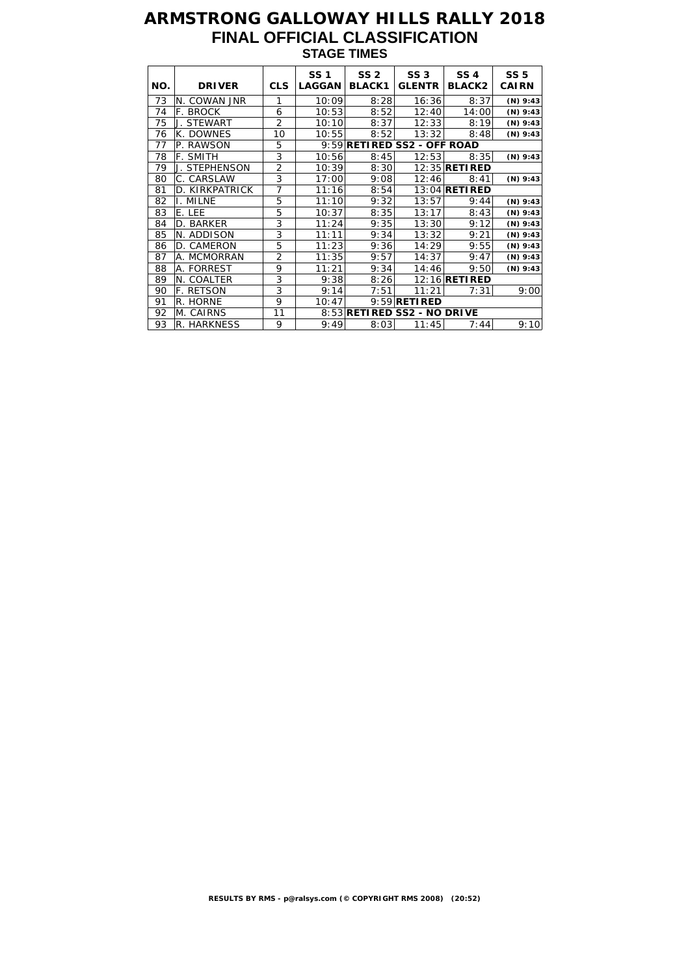## **ARMSTRONG GALLOWAY HILLS RALLY 2018 FINAL OFFICIAL CLASSIFICATION STAGE TIMES**

| NO. | <b>DRIVER</b>    | <b>CLS</b>     | <b>SS1</b><br><b>LAGGAN</b> | SS <sub>2</sub><br><b>BLACK1</b> | <b>SS 3</b><br><b>GLENTR</b> | SS <sub>4</sub><br><b>BLACK2</b> | <b>SS 5</b><br><b>CAIRN</b> |
|-----|------------------|----------------|-----------------------------|----------------------------------|------------------------------|----------------------------------|-----------------------------|
| 73  | N. COWAN JNR     | 1              | 10:09                       | 8:28                             | 16:36                        | 8:37                             | $(N)$ 9:43                  |
| 74  | F. BROCK         | 6              | 10:53                       | 8:52                             | 12:40                        | 14:00                            | $(N)$ 9:43                  |
| 75  | J. STEWART       | $\overline{2}$ | 10:10                       | 8:37                             | 12:33                        | 8:19                             | (N) $9:43$                  |
| 76  | K. DOWNES        | 10             | 10:55                       | 8:52                             | 13:32                        | 8:48                             | $(N)$ 9:43                  |
| 77  | P. RAWSON        | 5              |                             |                                  | 9:59 RETIRED SS2 - OFF ROAD  |                                  |                             |
| 78  | F. SMITH         | 3              | 10:56                       | 8:45                             | 12:53                        | 8:35                             | $(N)$ 9:43                  |
| 79  | J. STEPHENSON    | $\overline{2}$ | 10:39                       | 8:30                             |                              | 12:35 <b>RETI RED</b>            |                             |
| 80  | C. CARSLAW       | 3              | 17:00                       | 9:08                             | 12:46                        | 8:41                             | $(N)$ 9:43                  |
| 81  | D. KIRKPATRICK   | $\overline{7}$ | 11:16                       | 8:54                             |                              | 13:04 <b>RETIRED</b>             |                             |
| 82  | I. MILNE         | 5              | 11:10                       | 9:32                             | 13:57                        | 9:44                             | $(N)$ 9:43                  |
| 83  | E. LEE           | 5              | 10:37                       | 8:35                             | 13:17                        | 8:43                             | $(N)$ 9:43                  |
| 84  | D. BARKER        | 3              | 11:24                       | 9:35                             | 13:30                        | 9:12                             | $(N)$ 9:43                  |
| 85  | N. ADDISON       | 3              | 11:11                       | 9:34                             | 13:32                        | 9:21                             | $(N)$ 9:43                  |
| 86  | D. CAMERON       | 5              | 11:23                       | 9:36                             | 14:29                        | 9:55                             | $(N)$ 9:43                  |
| 87  | A. MCMORRAN      | 2              | 11:35                       | 9:57                             | 14:37                        | 9:47                             | $(N)$ 9:43                  |
| 88  | A. FORREST       | 9              | 11:21                       | 9:34                             | 14:46                        | 9:50                             | $(N)$ 9:43                  |
| 89  | N. COALTER       | 3              | 9:38                        | 8:26                             |                              | 12:16 <b>RETIRED</b>             |                             |
| 90  | <b>F. RETSON</b> | 3              | 9:14                        | 7:51                             | 11:21                        | 7:31                             | 9:00                        |
| 91  | R. HORNE         | 9              | 10:47                       |                                  | $9:59$ RETIRED               |                                  |                             |
| 92  | M. CAIRNS        | 11             |                             |                                  | 8:53 RETIRED SS2 - NO DRIVE  |                                  |                             |
| 93  | R. HARKNESS      | 9              | 9:49                        | 8:03                             | 11:45                        | 7:44                             | 9:10                        |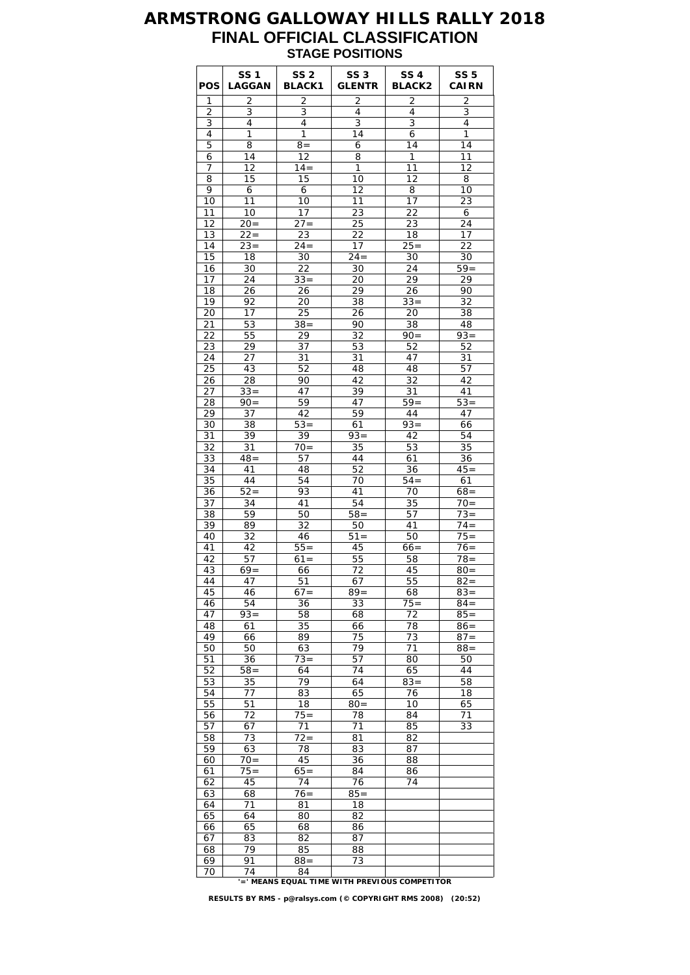### **ARMSTRONG GALLOWAY HILLS RALLY 2018 FINAL OFFICIAL CLASSIFICATION STAGE POSITIONS**

| <b>POS</b> | <b>SS1</b><br><b>LAGGAN</b> | SS <sub>2</sub><br><b>BLACK1</b> | <b>SS 3</b><br><b>GLENTR</b> | <b>SS 4</b><br><b>BLACK2</b> | <b>SS 5</b><br><b>CAIRN</b> |
|------------|-----------------------------|----------------------------------|------------------------------|------------------------------|-----------------------------|
| 1          | 2                           | 2                                | 2                            | 2                            | $\overline{2}$              |
| 2<br>3     | 3<br>4                      | 3<br>4                           | 4<br>3                       | 4<br>3                       | 3<br>4                      |
| 4          | 1                           | 1                                | 14                           | 6                            | 1                           |
| 5          | 8                           | $8 =$                            | 6                            | 14                           | 14                          |
| 6          | 14                          | 12                               | 8                            | 1                            | 11                          |
| 7          | 12                          | $14 =$                           | 1                            | 11                           | 12                          |
| 8          | 15                          | 15                               | 10                           | 12                           | 8                           |
| 9<br>10    | 6<br>11                     | 6<br>10                          | 12<br>11                     | 8<br>17                      | 10<br>23                    |
| 11         | 10                          | 17                               | 23                           | 22                           | 6                           |
| 12         | $20=$                       | $27 =$                           | 25                           | 23                           | 24                          |
| 13         | $22 =$                      | 23                               | 22                           | 18                           | 17                          |
| 14         | $23 =$                      | $24 =$                           | 17                           | $25 =$                       | 22                          |
| 15<br>16   | 18                          | 30                               | $24 =$                       | 30                           | 30<br>$59=$                 |
| 17         | 30<br>24                    | 22<br>$33 =$                     | 30<br>20                     | 24<br>29                     | 29                          |
| 18         | 26                          | 26                               | 29                           | 26                           | 90                          |
| 19         | 92                          | 20                               | 38                           | $33 =$                       | 32                          |
| 20         | 17                          | 25                               | 26                           | 20                           | 38                          |
| 21         | 53                          | $38 =$                           | 90                           | 38                           | 48                          |
| 22         | 55                          | 29                               | 32                           | $\overline{9}0=$             | $93 =$<br>52                |
| 23<br>24   | 29<br>27                    | 37<br>31                         | 53<br>31                     | 52<br>47                     | 31                          |
| 25         | 43                          | 52                               | 48                           | 48                           | 57                          |
| 26         | 28                          | 90                               | 42                           | 32                           | 42                          |
| 27         | $33 =$                      | 47                               | 39                           | 31                           | 41                          |
| 28         | $90 =$                      | 59                               | 47                           | $59 =$                       | $53 =$                      |
| 29         | 37                          | 42                               | 59                           | 44<br>$93 =$                 | 47                          |
| 30<br>31   | 38<br>39                    | $53 =$<br>39                     | 61<br>$93 =$                 | 42                           | 66<br>54                    |
| 32         | 31                          | $70=$                            | 35                           | 53                           | 35                          |
| 33         | $48 =$                      | 57                               | 44                           | 61                           | 36                          |
| 34         | 41                          | 48                               | 52                           | 36                           | $45=$                       |
| 35         | 44                          | 54                               | 70                           | $54 =$                       | 61                          |
| 36<br>37   | $52 =$<br>34                | 93<br>41                         | 41<br>54                     | 70<br>35                     | $68 =$<br>$70=$             |
| 38         | 59                          | 50                               | $58 =$                       | 57                           | $\overline{73}$ =           |
| 39         | 89                          | 32                               | 50                           | 41                           | $74 =$                      |
| 40         | 32                          | 46                               | $51 =$                       | 50                           | $75 =$                      |
| 41         | 42                          | $55 =$                           | 45                           | $66 =$                       | $76 =$                      |
| 42         | 57                          | $61 =$                           | 55                           | 58                           | $78 =$                      |
| 43<br>44   | $69=$<br>47                 | 66<br>51                         | 72<br>67                     | 45<br>55                     | $80 =$<br>$82 =$            |
| 45         | 46                          | $67=$                            | $89 =$                       | 68                           | $83 =$                      |
| 46         | 54                          | 36                               | 33                           | $75 =$                       | $84 =$                      |
| 47         | $93 =$                      | 58                               | 68                           | 72                           | $85 =$                      |
| 48         | 61                          | 35                               | 66                           | 78                           | $86 =$                      |
| 49<br>50   | 66<br>50                    | 89<br>63                         | 75<br>79                     | 73<br>71                     | $87 =$<br>$88 =$            |
| 51         | 36                          | $73 =$                           | 57                           | 80                           | 50                          |
| 52         | $58 =$                      | 64                               | 74                           | 65                           | 44                          |
| 53         | 35                          | 79                               | 64                           | $83 =$                       | 58                          |
| 54         | 77                          | 83                               | 65                           | 76                           | 18                          |
| 55         | 51                          | 18                               | $80 =$                       | 10                           | 65                          |
| 56<br>57   | 72<br>67                    | $75 =$<br>71                     | 78<br>71                     | 84<br>85                     | 71<br>33                    |
| 58         | 73                          | $72 =$                           | 81                           | 82                           |                             |
| 59         | 63                          | 78                               | 83                           | 87                           |                             |
| 60         | $70 =$                      | 45                               | 36                           | 88                           |                             |
| 61         | $75 =$                      | $65=$                            | 84                           | 86                           |                             |
| 62         | 45                          | 74                               | 76                           | 74                           |                             |
| 63<br>64   | 68<br>71                    | $76 =$<br>81                     | $85 =$<br>18                 |                              |                             |
| 65         | 64                          | 80                               | 82                           |                              |                             |
| 66         | 65                          | 68                               | 86                           |                              |                             |
| 67         | 83                          | 82                               | 87                           |                              |                             |
| 68         | 79                          | 85                               | 88                           |                              |                             |
| 69<br>70   | 91<br>74                    | $88 =$<br>84                     | 73                           |                              |                             |
|            |                             |                                  |                              |                              |                             |

70 74 84 **'=' MEANS EQUAL TIME WITH PREVIOUS COMPETITOR**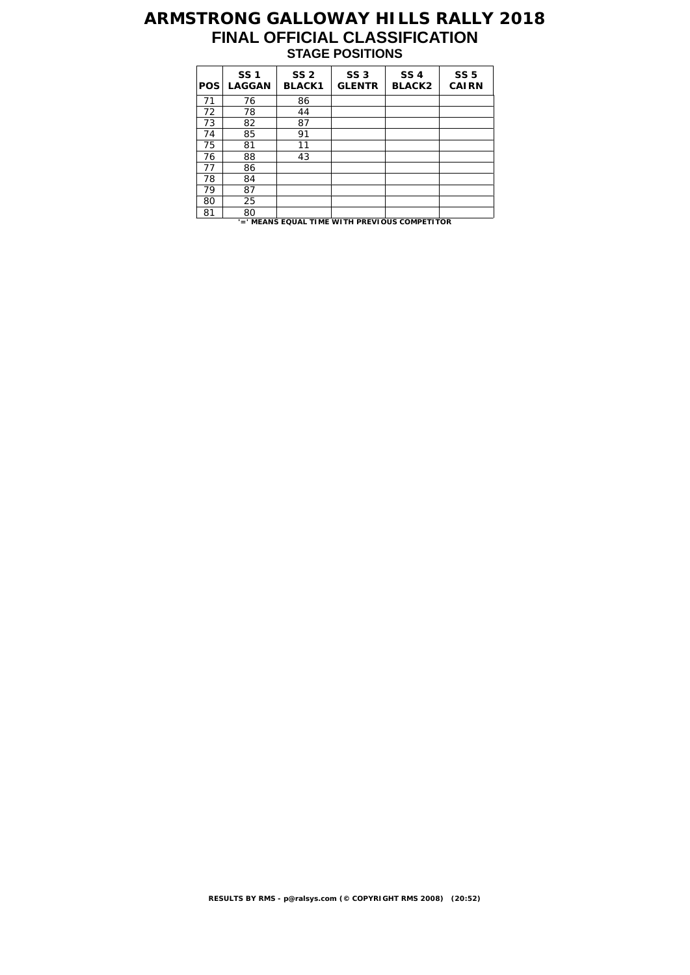## **ARMSTRONG GALLOWAY HILLS RALLY 2018 FINAL OFFICIAL CLASSIFICATION STAGE POSITIONS**

| <b>POS</b> | <b>SS1</b><br><b>LAGGAN</b> | SS <sub>2</sub><br><b>BLACK1</b> | SS <sub>3</sub><br><b>GLENTR</b>              | <b>SS4</b><br><b>BLACK2</b> | <b>SS 5</b><br><b>CAIRN</b> |
|------------|-----------------------------|----------------------------------|-----------------------------------------------|-----------------------------|-----------------------------|
| 71         | 76                          | 86                               |                                               |                             |                             |
| 72         | 78                          | 44                               |                                               |                             |                             |
| 73         | 82                          | 87                               |                                               |                             |                             |
| 74         | 85                          | 91                               |                                               |                             |                             |
| 75         | 81                          | 11                               |                                               |                             |                             |
| 76         | 88                          | 43                               |                                               |                             |                             |
| 77         | 86                          |                                  |                                               |                             |                             |
| 78         | 84                          |                                  |                                               |                             |                             |
| 79         | 87                          |                                  |                                               |                             |                             |
| 80         | 25                          |                                  |                                               |                             |                             |
| 81         | 80                          |                                  |                                               |                             |                             |
|            |                             |                                  | '=' MEANS EQUAL TIME WITH PREVIOUS COMPETITOR |                             |                             |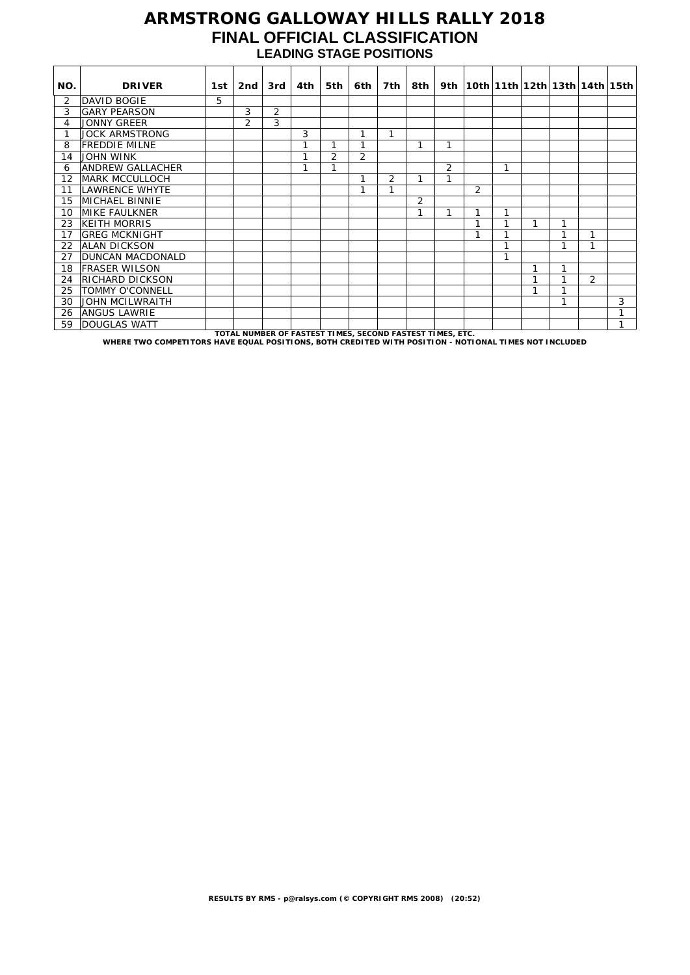### **ARMSTRONG GALLOWAY HILLS RALLY 2018 FINAL OFFICIAL CLASSIFICATION LEADING STAGE POSITIONS**

| NO. | <b>DRIVER</b>                                                                                         | 1st i | 2nd                                                       | 3rd | 4th | 5th | 6th            | 7th            | 8th ⊺          |                |   |   |   |   |                | 9th   10th   11th   12th   13th   14th   15th |
|-----|-------------------------------------------------------------------------------------------------------|-------|-----------------------------------------------------------|-----|-----|-----|----------------|----------------|----------------|----------------|---|---|---|---|----------------|-----------------------------------------------|
| 2   | DAVID BOGIE                                                                                           | 5.    |                                                           |     |     |     |                |                |                |                |   |   |   |   |                |                                               |
| 3   | <b>GARY PEARSON</b>                                                                                   |       | 3                                                         | 2   |     |     |                |                |                |                |   |   |   |   |                |                                               |
| 4   | <b>JONNY GREER</b>                                                                                    |       | $\overline{2}$                                            | 3   |     |     |                |                |                |                |   |   |   |   |                |                                               |
| 1   | <b>JOCK ARMSTRONG</b>                                                                                 |       |                                                           |     | 3   |     | 1              |                |                |                |   |   |   |   |                |                                               |
| 8   | <b>FREDDIE MILNE</b>                                                                                  |       |                                                           |     |     |     | 1              |                |                | 1              |   |   |   |   |                |                                               |
| 14  | <b>JOHN WINK</b>                                                                                      |       |                                                           |     | 1   | 2   | $\overline{2}$ |                |                |                |   |   |   |   |                |                                               |
| 6   | ANDREW GALLACHER                                                                                      |       |                                                           |     | 1   | ◄   |                |                |                | $\overline{2}$ |   |   |   |   |                |                                               |
| 12  | <b>MARK MCCULLOCH</b>                                                                                 |       |                                                           |     |     |     | 1              | $\overline{2}$ |                | 1              |   |   |   |   |                |                                               |
| 11  | LAWRENCE WHYTE                                                                                        |       |                                                           |     |     |     |                |                |                |                | 2 |   |   |   |                |                                               |
| 15  | <b>MICHAEL BINNIE</b>                                                                                 |       |                                                           |     |     |     |                |                | $\overline{2}$ |                |   |   |   |   |                |                                               |
| 10  | <b>MIKE FAULKNER</b>                                                                                  |       |                                                           |     |     |     |                |                |                | 1              | 1 |   |   |   |                |                                               |
| 23  | KEITH MORRIS                                                                                          |       |                                                           |     |     |     |                |                |                |                | 1 |   | 1 | 1 |                |                                               |
| 17  | <b>GREG MCKNIGHT</b>                                                                                  |       |                                                           |     |     |     |                |                |                |                | 1 |   |   |   |                |                                               |
| 22  | <b>ALAN DICKSON</b>                                                                                   |       |                                                           |     |     |     |                |                |                |                |   | и |   | 1 |                |                                               |
| 27  | <b>DUNCAN MACDONALD</b>                                                                               |       |                                                           |     |     |     |                |                |                |                |   |   |   |   |                |                                               |
| 18  | <b>FRASER WILSON</b>                                                                                  |       |                                                           |     |     |     |                |                |                |                |   |   |   | 1 |                |                                               |
| 24  | RICHARD DICKSON                                                                                       |       |                                                           |     |     |     |                |                |                |                |   |   |   |   | $\overline{2}$ |                                               |
| 25  | <b>TOMMY O'CONNELL</b>                                                                                |       |                                                           |     |     |     |                |                |                |                |   |   |   |   |                |                                               |
| 30  | <b>JOHN MCILWRAITH</b>                                                                                |       |                                                           |     |     |     |                |                |                |                |   |   |   | 1 |                | 3                                             |
| 26  | <b>ANGUS LAWRIE</b>                                                                                   |       |                                                           |     |     |     |                |                |                |                |   |   |   |   |                | 1                                             |
| 59  | <b>DOUGLAS WATT</b>                                                                                   |       |                                                           |     |     |     |                |                |                |                |   |   |   |   |                | 1                                             |
|     | WHERE TWO COMPETITORS HAVE EQUAL POSITIONS, BOTH CREDITED WITH POSITION - NOTIONAL TIMES NOT INCLUDED |       | TOTAL NUMBER OF FASTEST TIMES, SECOND FASTEST TIMES, ETC. |     |     |     |                |                |                |                |   |   |   |   |                |                                               |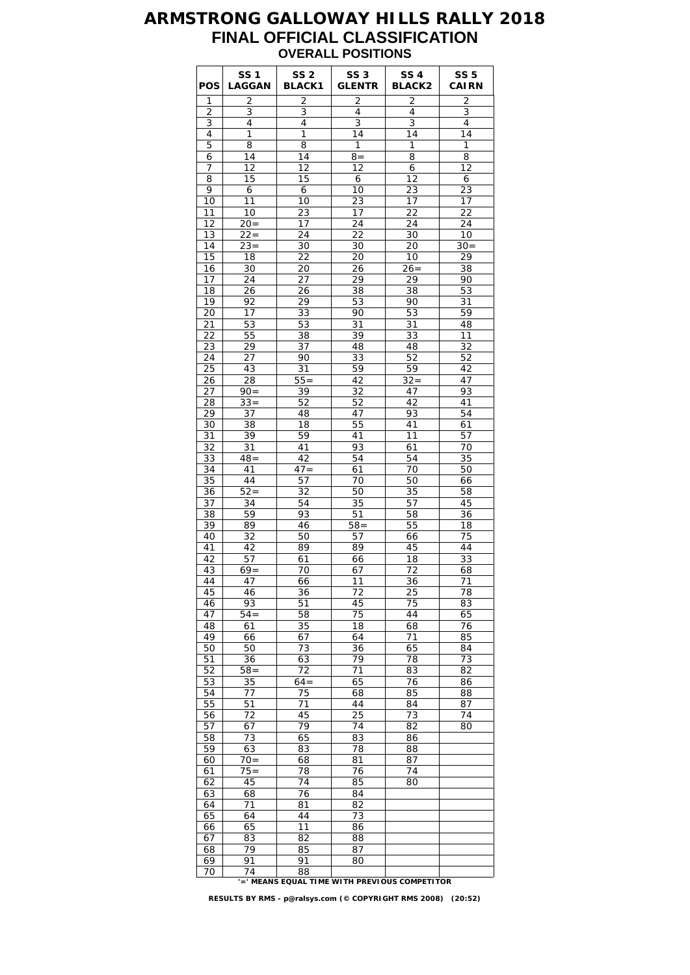### **ARMSTRONG GALLOWAY HILLS RALLY 2018 FINAL OFFICIAL CLASSIFICATION OVERALL POSITIONS**

| POS              | <b>SS1</b><br>LAGGAN | SS <sub>2</sub><br><b>BLACK1</b> | SS <sub>3</sub><br><b>GLENTR</b> | <b>SS 4</b><br><b>BLACK2</b>                 | <b>SS 5</b><br><b>CAIRN</b> |
|------------------|----------------------|----------------------------------|----------------------------------|----------------------------------------------|-----------------------------|
| 1                | 2                    | 2                                | $\overline{2}$                   | $\overline{2}$                               | $\overline{2}$              |
| 2<br>3           | 3<br>4               | 3<br>4                           | 4<br>3                           | 4<br>3                                       | 3<br>4                      |
| 4                | 1                    | 1                                | 14                               | 14                                           | 14                          |
| 5                | 8                    | 8                                | 1                                | 1                                            | 1                           |
| 6                | 14                   | 14                               | $8 =$                            | 8                                            | 8                           |
| 7                | 12                   | 12                               | 12                               | 6                                            | 12                          |
| 8                | 15                   | 15                               | 6                                | 12                                           | 6                           |
| 9                | 6                    | 6                                | 10                               | 23                                           | 23                          |
| 10               | 11                   | 10                               | 23                               | 17                                           | 17                          |
| 11               | 10                   | 23                               | 17                               | 22                                           | 22                          |
| 12               | $20=$                | 17                               | 24                               | 24                                           | 24                          |
| 13<br>14         | $22 =$<br>$23 =$     | 24<br>30                         | 22<br>30                         | 30<br>20                                     | 10<br>$30=$                 |
| 15               | 18                   | 22                               | 20                               | 10                                           | 29                          |
| 16               | 30                   | 20                               | 26                               | $26=$                                        | 38                          |
| 17               | 24                   | 27                               | 29                               | 29                                           | 90                          |
| 18               | 26                   | 26                               | 38                               | 38                                           | 53                          |
| 19               | 92                   | 29                               | 53                               | 90                                           | 31                          |
| 20               | 17                   | 33                               | 90                               | 53                                           | 59                          |
| 21               | 53                   | 53                               | 31                               | 31                                           | 48                          |
| 22               | 55                   | 38                               | 39                               | 33                                           | 11                          |
| 23               | 29                   | 37                               | 48                               | 48                                           | 32                          |
| 24               | 27                   | 90                               | 33                               | 52                                           | 52                          |
| 25               | 43                   | 31                               | 59                               | 59                                           | 42                          |
| 26<br>27         | 28<br>$90 =$         | $55 =$<br>39                     | 42                               | $32 =$<br>47                                 | 47<br>93                    |
| 28               | $33 =$               | 52                               | 32<br>52                         | 42                                           | 41                          |
| 29               | 37                   | 48                               | 47                               | 93                                           | 54                          |
| 30               | 38                   | 18                               | 55                               | 41                                           | 61                          |
| 31               | 39                   | 59                               | 41                               | 11                                           | 57                          |
| 32               | 31                   | 41                               | 93                               | 61                                           | 70                          |
| 33               | $48 =$               | 42                               | 54                               | 54                                           | 35                          |
| 34               | 41                   | $47 =$                           | 61                               | 70                                           | 50                          |
| 35               | 44                   | 57                               | 70                               | 50                                           | 66                          |
| 36               | $52=$                | 32                               | 50                               | 35                                           | 58                          |
| 37               | 34                   | 54                               | 35                               | 57                                           | 45                          |
| 38<br>39         | 59                   | 93<br>46                         | 51<br>$58 =$                     | 58                                           | 36<br>18                    |
| 40               | 89<br>32             | 50                               | 57                               | 55<br>66                                     | 75                          |
| 41               | 42                   | 89                               | 89                               | 45                                           | 44                          |
| 42               | 57                   | 61                               | 66                               | 18                                           | 33                          |
| 43               | $69=$                | 70                               | 67                               | 72                                           | 68                          |
| 44               | 47                   | 66                               | 11                               | 36                                           | 71                          |
| 45               | 46                   | 36                               | 72                               | 25                                           | 78                          |
| 46               | 93                   | 51                               | 45                               | 75                                           | 83                          |
| 47               | $54 =$               | 58                               | 75                               | 44                                           | 65                          |
| 48               | 61                   | 35                               | 18                               | 68                                           | 76                          |
| 49               | 66                   | 67                               | 64                               | 71                                           | 85                          |
| 50               | 50                   | 73                               | 36<br>79                         | 65<br>78                                     | 84                          |
| 51<br>52         | 36<br>$\bar{58}$ =   | 63<br>72                         | 71                               | 83                                           | 73<br>82                    |
| 53               | 35                   | $64=$                            | 65                               | 76                                           | 86                          |
| 54               | 77                   | 75                               | 68                               | 85                                           | 88                          |
| 55               | 51                   | 71                               | 44                               | 84                                           | 87                          |
| 56               | 72                   | 45                               | 25                               | 73                                           | 74                          |
| 57               | 67                   | 79                               | $\overline{74}$                  | 82                                           | 80                          |
| 58               | 73                   | 65                               | 83                               | 86                                           |                             |
| 59               | 63                   | 83                               | 78                               | 88                                           |                             |
| 60               | $70 =$               | 68                               | 81                               | 87                                           |                             |
| 61               | $75 =$               | 78                               | 76                               | 74                                           |                             |
| 62               | 45                   | 74                               | 85                               | 80                                           |                             |
| 63<br>64         | 68<br>71             | 76<br>81                         | 84<br>82                         |                                              |                             |
| 65               | 64                   | 44                               | 73                               |                                              |                             |
| $\underline{66}$ | 65                   | 11                               | 86                               |                                              |                             |
| 67               | 83                   | 82                               | 88                               |                                              |                             |
| 68               | 79                   | 85                               | 87                               |                                              |                             |
| 69               | 91                   | 91                               | 80                               |                                              |                             |
| 70               | 74                   | 88                               |                                  | -' MEANS EQUAL TIME WITH PREVIOUS COMPETITOR |                             |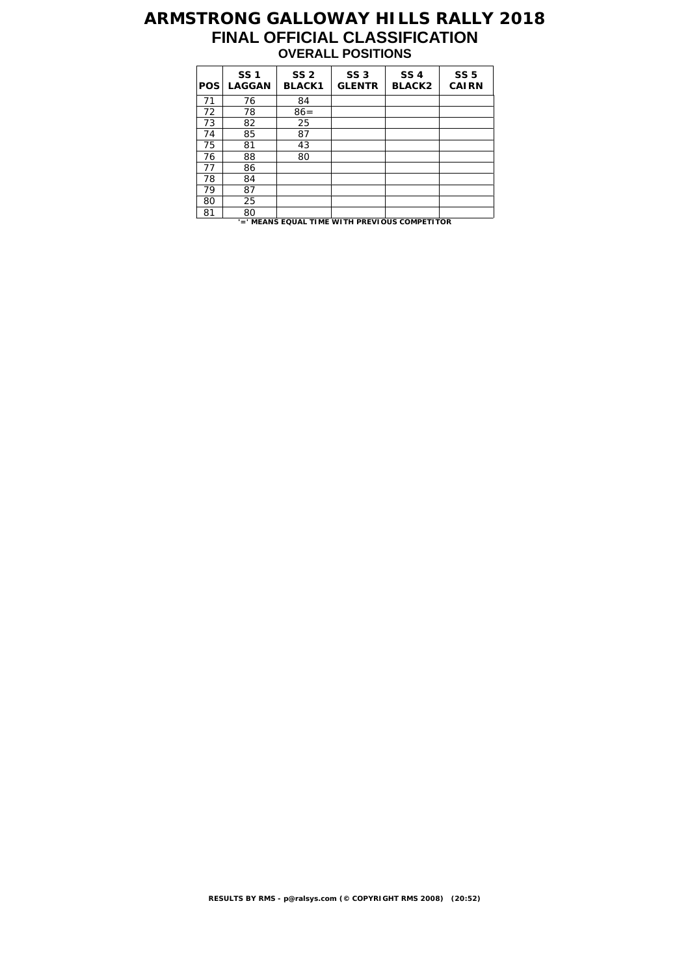## **ARMSTRONG GALLOWAY HILLS RALLY 2018 FINAL OFFICIAL CLASSIFICATION OVERALL POSITIONS**

| <b>POS</b>                                    | <b>SS1</b><br><b>LAGGAN</b> | SS <sub>2</sub><br><b>BLACK1</b> | SS <sub>3</sub><br><b>GLENTR</b> | <b>SS4</b><br><b>BLACK2</b> | <b>SS 5</b><br><b>CAIRN</b> |  |  |  |
|-----------------------------------------------|-----------------------------|----------------------------------|----------------------------------|-----------------------------|-----------------------------|--|--|--|
| 71                                            | 76                          | 84                               |                                  |                             |                             |  |  |  |
| 72                                            | 78                          | $86 =$                           |                                  |                             |                             |  |  |  |
| 73                                            | 82                          | 25                               |                                  |                             |                             |  |  |  |
| 74                                            | 85                          | 87                               |                                  |                             |                             |  |  |  |
| 75                                            | 81                          | 43                               |                                  |                             |                             |  |  |  |
| 76                                            | 88                          | 80                               |                                  |                             |                             |  |  |  |
| 77                                            | 86                          |                                  |                                  |                             |                             |  |  |  |
| 78                                            | 84                          |                                  |                                  |                             |                             |  |  |  |
| 79                                            | 87                          |                                  |                                  |                             |                             |  |  |  |
| 80                                            | 25                          |                                  |                                  |                             |                             |  |  |  |
| 81                                            | 80                          |                                  |                                  |                             |                             |  |  |  |
| '=' MEANS EQUAL TIME WITH PREVIOUS COMPETITOR |                             |                                  |                                  |                             |                             |  |  |  |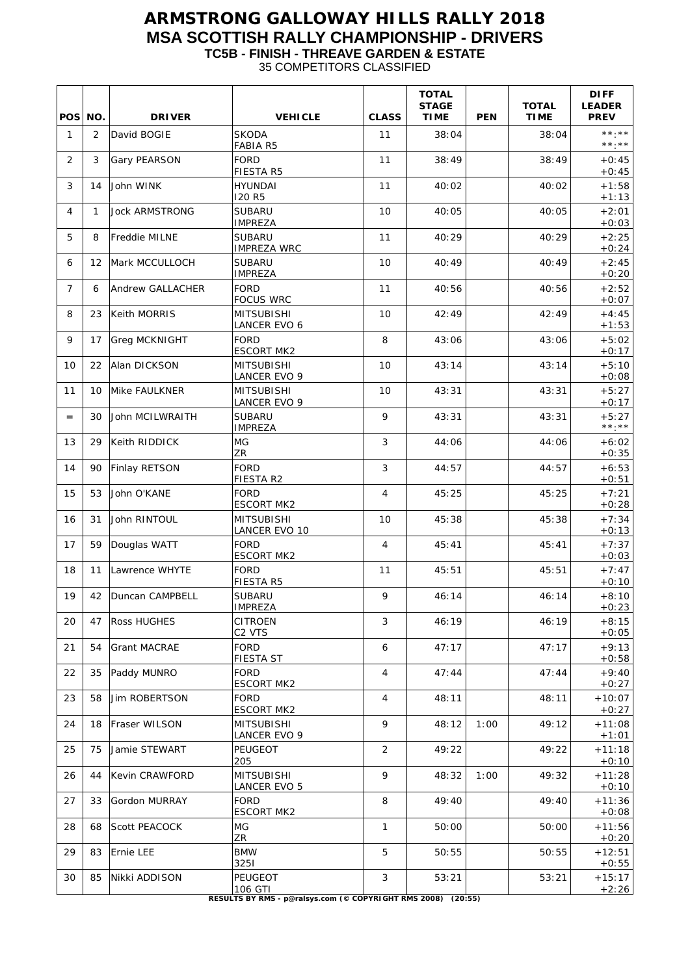## **ARMSTRONG GALLOWAY HILLS RALLY 2018 MSA SCOTTISH RALLY CHAMPIONSHIP - DRIVERS TC5B - FINISH - THREAVE GARDEN & ESTATE**

35 COMPETITORS CLASSIFIED

| <b>POS</b>     | NO. | <b>DRIVER</b>           | <b>VEHICLE</b>                                                                     | <b>CLASS</b>   | <b>TOTAL</b><br><b>STAGE</b><br><b>TIME</b> | <b>PEN</b> | <b>TOTAL</b><br><b>TIME</b> | <b>DIFF</b><br><b>LEADER</b><br><b>PREV</b> |
|----------------|-----|-------------------------|------------------------------------------------------------------------------------|----------------|---------------------------------------------|------------|-----------------------------|---------------------------------------------|
| 1              | 2   | David BOGIE             | <b>SKODA</b><br><b>FABIA R5</b>                                                    | 11             | 38:04                                       |            | 38:04                       | **.**<br>$***.**$                           |
| 2              | 3   | Gary PEARSON            | <b>FORD</b><br><b>FIESTA R5</b>                                                    | 11             | 38:49                                       |            | 38:49                       | $+0:45$<br>$+0:45$                          |
| 3              | 14  | John WINK               | <b>HYUNDAI</b><br>120 R5                                                           | 11             | 40:02                                       |            | 40:02                       | $+1:58$<br>$+1:13$                          |
| 4              | 1   | <b>Jock ARMSTRONG</b>   | <b>SUBARU</b><br><b>IMPREZA</b>                                                    | 10             | 40:05                                       |            | 40:05                       | $+2:01$<br>$+0:03$                          |
| 5              | 8   | Freddie MILNE           | <b>SUBARU</b><br><b>IMPREZA WRC</b>                                                | 11             | 40:29                                       |            | 40:29                       | $+2:25$<br>$+0:24$                          |
| 6              | 12  | Mark MCCULLOCH          | <b>SUBARU</b><br><b>IMPREZA</b>                                                    | 10             | 40:49                                       |            | 40:49                       | $+2:45$<br>$+0:20$                          |
| $\overline{7}$ | 6   | <b>Andrew GALLACHER</b> | <b>FORD</b><br><b>FOCUS WRC</b>                                                    | 11             | 40:56                                       |            | 40:56                       | $+2:52$<br>$+0:07$                          |
| 8              | 23  | Keith MORRIS            | <b>MITSUBISHI</b><br>LANCER EVO 6                                                  | 10             | 42:49                                       |            | 42:49                       | $+4:45$<br>$+1:53$                          |
| 9              | 17  | Greg MCKNIGHT           | FORD<br><b>ESCORT MK2</b>                                                          | 8              | 43:06                                       |            | 43:06                       | $+5:02$<br>$+0:17$                          |
| 10             | 22  | Alan DICKSON            | <b>MITSUBISHI</b><br>LANCER EVO 9                                                  | 10             | 43:14                                       |            | 43:14                       | $+5:10$<br>$+0:08$                          |
| 11             | 10  | Mike FAULKNER           | <b>MITSUBISHI</b><br>LANCER EVO 9                                                  | 10             | 43:31                                       |            | 43:31                       | $+5:27$<br>$+0:17$                          |
| $=$            | 30  | John MCILWRAITH         | <b>SUBARU</b><br><b>IMPREZA</b>                                                    | 9              | 43:31                                       |            | 43:31                       | $+5:27$<br>**.**                            |
| 13             | 29  | Keith RIDDICK           | MG<br><b>ZR</b>                                                                    | 3              | 44:06                                       |            | 44:06                       | $+6:02$<br>$+0:35$                          |
| 14             | 90  | Finlay RETSON           | <b>FORD</b><br>FIESTA R2                                                           | 3              | 44:57                                       |            | 44:57                       | $+6:53$<br>$+0:51$                          |
| 15             | 53  | John O'KANE             | <b>FORD</b><br><b>ESCORT MK2</b>                                                   | $\overline{4}$ | 45:25                                       |            | 45:25                       | $+7:21$<br>$+0:28$                          |
| 16             | 31  | John RINTOUL            | <b>MITSUBISHI</b><br>LANCER EVO 10                                                 | 10             | 45:38                                       |            | 45:38                       | $+7:34$<br>$+0:13$                          |
| 17             | 59  | Douglas WATT            | <b>FORD</b><br><b>ESCORT MK2</b>                                                   | 4              | 45:41                                       |            | 45:41                       | $+7:37$<br>$+0:03$                          |
| 18             | 11  | Lawrence WHYTE          | FORD<br><b>FIESTA R5</b>                                                           | 11             | 45:51                                       |            | 45:51                       | $+7:47$<br>$+0:10$                          |
| 19             | 42  | Duncan CAMPBELL         | <b>SUBARU</b><br><b>IMPREZA</b>                                                    | 9              | 46:14                                       |            | 46:14                       | $+8:10$<br>$+0:23$                          |
| 20             | 47  | Ross HUGHES             | <b>CITROEN</b><br>C <sub>2</sub> VTS                                               | 3              | 46:19                                       |            | 46:19                       | $+8:15$<br>$+0:05$                          |
| 21             | 54  | Grant MACRAE            | <b>FORD</b><br><b>FIESTA ST</b>                                                    | 6              | 47:17                                       |            | 47:17                       | $+9:13$<br>$+0.58$                          |
| 22             | 35  | Paddy MUNRO             | <b>FORD</b><br><b>ESCORT MK2</b>                                                   | 4              | 47:44                                       |            | 47:44                       | $+9:40$<br>$+0:27$                          |
| 23             | 58  | <b>Jim ROBERTSON</b>    | <b>FORD</b><br><b>ESCORT MK2</b>                                                   | 4              | 48:11                                       |            | 48:11                       | $+10:07$<br>$+0.27$                         |
| 24             | 18  | Fraser WILSON           | <b>MITSUBISHI</b><br>LANCER EVO 9                                                  | 9              | 48:12                                       | 1:00       | 49:12                       | $+11:08$<br>$+1:01$                         |
| 25             | 75  | Jamie STEWART           | <b>PEUGEOT</b><br>205                                                              | 2              | 49:22                                       |            | 49:22                       | $+11:18$<br>$+0:10$                         |
| 26             | 44  | <b>Kevin CRAWFORD</b>   | <b>MITSUBISHI</b><br>LANCER EVO 5                                                  | 9              | 48:32                                       | 1:00       | 49:32                       | $+11:28$<br>$+0:10$                         |
| 27             | 33  | Gordon MURRAY           | <b>FORD</b><br><b>ESCORT MK2</b>                                                   | 8              | 49:40                                       |            | 49:40                       | $+11:36$<br>$+0:08$                         |
| 28             | 68  | <b>Scott PEACOCK</b>    | MG<br>ZR                                                                           | 1              | 50:00                                       |            | 50:00                       | $+11:56$<br>$+0:20$                         |
| 29             | 83  | Ernie LEE               | <b>BMW</b><br>3251                                                                 | 5              | 50:55                                       |            | 50:55                       | $+12:51$<br>$+0:55$                         |
| 30             | 85  | Nikki ADDISON           | PEUGEOT<br>106 GTI<br>RESULTS BY RMS - p@ralsys.com (© COPYRIGHT RMS 2008) (20:55) | 3              | 53:21                                       |            | 53:21                       | $+15:17$<br>$+2:26$                         |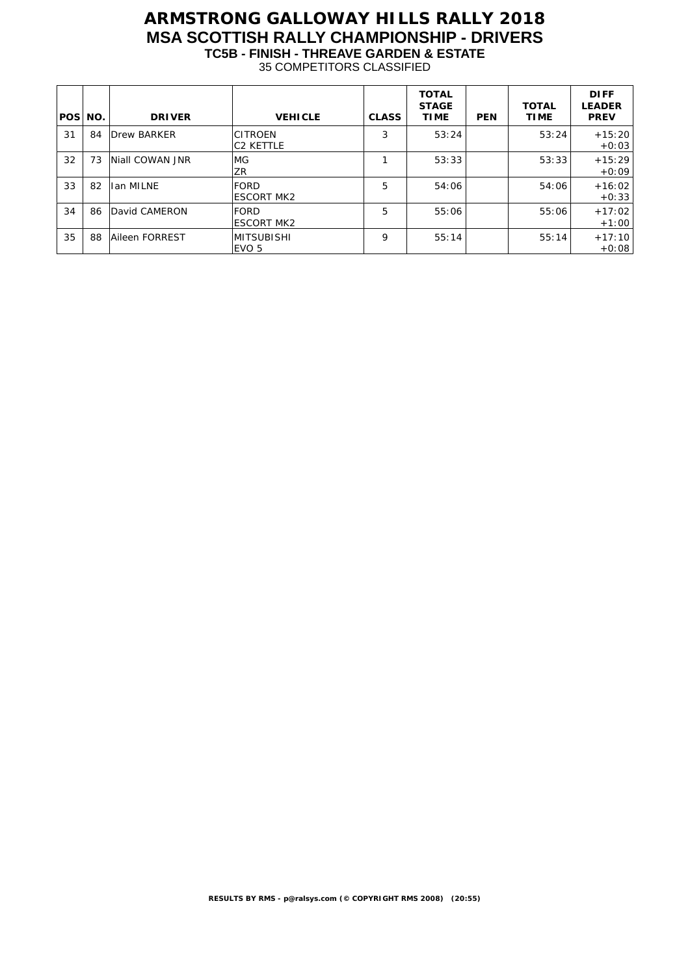# **ARMSTRONG GALLOWAY HILLS RALLY 2018 MSA SCOTTISH RALLY CHAMPIONSHIP - DRIVERS TC5B - FINISH - THREAVE GARDEN & ESTATE**

35 COMPETITORS CLASSIFIED

| POS NO. |    | <b>DRIVER</b>      | <b>VEHICLE</b>                     | <b>CLASS</b> | <b>TOTAL</b><br><b>STAGE</b><br><b>TIME</b> | <b>PEN</b> | <b>TOTAL</b><br><b>TIME</b> | <b>DIFF</b><br><b>LEADER</b><br><b>PREV</b> |
|---------|----|--------------------|------------------------------------|--------------|---------------------------------------------|------------|-----------------------------|---------------------------------------------|
| 31      | 84 | <b>Drew BARKER</b> | <b>CITROEN</b><br><b>C2 KETTLE</b> | 3            | 53:24                                       |            | 53:24                       | $+15:20$<br>$+0.03$                         |
| 32      | 73 | Niall COWAN JNR    | MG.<br>ZR                          |              | 53:33                                       |            | 53:33                       | $+15:29$<br>$+0.09$                         |
| 33      | 82 | Ian MILNE          | FORD<br><b>ESCORT MK2</b>          | 5            | 54:06                                       |            | 54:06                       | $+16:02$<br>$+0.33$                         |
| 34      | 86 | David CAMERON      | FORD<br><b>ESCORT MK2</b>          | 5            | 55:06                                       |            | 55:06                       | $+17:02$<br>$+1:00$                         |
| 35      | 88 | Aileen FORREST     | <b>MITSUBISHI</b><br>EVO 5         | 9            | 55:14                                       |            | 55:14                       | $+17:10$<br>$+0.08$                         |